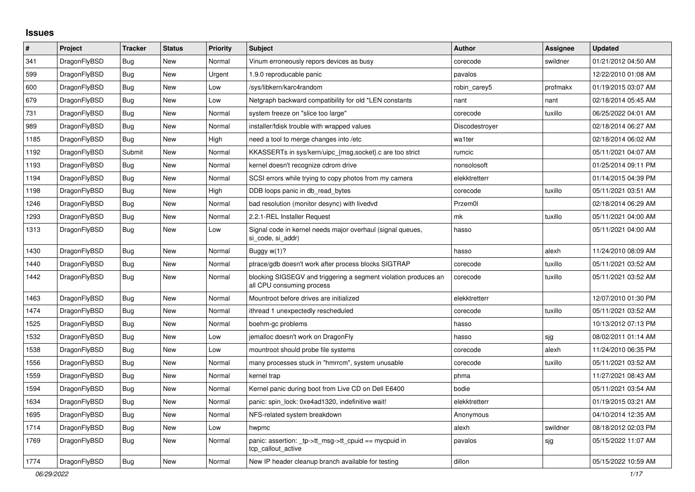## **Issues**

| #    | Project      | <b>Tracker</b> | <b>Status</b> | <b>Priority</b> | <b>Subject</b>                                                                               | <b>Author</b>  | <b>Assignee</b> | <b>Updated</b>      |
|------|--------------|----------------|---------------|-----------------|----------------------------------------------------------------------------------------------|----------------|-----------------|---------------------|
| 341  | DragonFlyBSD | <b>Bug</b>     | <b>New</b>    | Normal          | Vinum erroneously repors devices as busy                                                     | corecode       | swildner        | 01/21/2012 04:50 AM |
| 599  | DragonFlyBSD | Bug            | <b>New</b>    | Urgent          | 1.9.0 reproducable panic                                                                     | pavalos        |                 | 12/22/2010 01:08 AM |
| 600  | DragonFlyBSD | Bug            | <b>New</b>    | Low             | /sys/libkern/karc4random                                                                     | robin_carey5   | profmakx        | 01/19/2015 03:07 AM |
| 679  | DragonFlyBSD | <b>Bug</b>     | <b>New</b>    | Low             | Netgraph backward compatibility for old *LEN constants                                       | nant           | nant            | 02/18/2014 05:45 AM |
| 731  | DragonFlyBSD | Bug            | <b>New</b>    | Normal          | system freeze on "slice too large"                                                           | corecode       | tuxillo         | 06/25/2022 04:01 AM |
| 989  | DragonFlyBSD | Bug            | <b>New</b>    | Normal          | installer/fdisk trouble with wrapped values                                                  | Discodestroyer |                 | 02/18/2014 06:27 AM |
| 1185 | DragonFlyBSD | Bug            | <b>New</b>    | High            | need a tool to merge changes into /etc                                                       | wa1ter         |                 | 02/18/2014 06:02 AM |
| 1192 | DragonFlyBSD | Submit         | <b>New</b>    | Normal          | KKASSERTs in sys/kern/uipc_{msg,socket}.c are too strict                                     | rumcic         |                 | 05/11/2021 04:07 AM |
| 1193 | DragonFlyBSD | <b>Bug</b>     | <b>New</b>    | Normal          | kernel doesn't recognize cdrom drive                                                         | nonsolosoft    |                 | 01/25/2014 09:11 PM |
| 1194 | DragonFlyBSD | <b>Bug</b>     | <b>New</b>    | Normal          | SCSI errors while trying to copy photos from my camera                                       | elekktretterr  |                 | 01/14/2015 04:39 PM |
| 1198 | DragonFlyBSD | Bug            | <b>New</b>    | High            | DDB loops panic in db_read_bytes                                                             | corecode       | tuxillo         | 05/11/2021 03:51 AM |
| 1246 | DragonFlyBSD | Bug            | <b>New</b>    | Normal          | bad resolution (monitor desync) with livedvd                                                 | Przem0l        |                 | 02/18/2014 06:29 AM |
| 1293 | DragonFlyBSD | Bug            | <b>New</b>    | Normal          | 2.2.1-REL Installer Request                                                                  | mk             | tuxillo         | 05/11/2021 04:00 AM |
| 1313 | DragonFlyBSD | <b>Bug</b>     | <b>New</b>    | Low             | Signal code in kernel needs major overhaul (signal queues,<br>si code, si addr)              | hasso          |                 | 05/11/2021 04:00 AM |
| 1430 | DragonFlyBSD | Bug            | <b>New</b>    | Normal          | Buggy $w(1)$ ?                                                                               | hasso          | alexh           | 11/24/2010 08:09 AM |
| 1440 | DragonFlyBSD | Bug            | <b>New</b>    | Normal          | ptrace/gdb doesn't work after process blocks SIGTRAP                                         | corecode       | tuxillo         | 05/11/2021 03:52 AM |
| 1442 | DragonFlyBSD | Bug            | New           | Normal          | blocking SIGSEGV and triggering a segment violation produces an<br>all CPU consuming process | corecode       | tuxillo         | 05/11/2021 03:52 AM |
| 1463 | DragonFlyBSD | <b>Bug</b>     | <b>New</b>    | Normal          | Mountroot before drives are initialized                                                      | elekktretterr  |                 | 12/07/2010 01:30 PM |
| 1474 | DragonFlyBSD | Bug            | <b>New</b>    | Normal          | ithread 1 unexpectedly rescheduled                                                           | corecode       | tuxillo         | 05/11/2021 03:52 AM |
| 1525 | DragonFlyBSD | <b>Bug</b>     | <b>New</b>    | Normal          | boehm-gc problems                                                                            | hasso          |                 | 10/13/2012 07:13 PM |
| 1532 | DragonFlyBSD | <b>Bug</b>     | <b>New</b>    | Low             | jemalloc doesn't work on DragonFly                                                           | hasso          | sjg             | 08/02/2011 01:14 AM |
| 1538 | DragonFlyBSD | <b>Bug</b>     | <b>New</b>    | Low             | mountroot should probe file systems                                                          | corecode       | alexh           | 11/24/2010 06:35 PM |
| 1556 | DragonFlyBSD | Bug            | <b>New</b>    | Normal          | many processes stuck in "hmrrcm", system unusable                                            | corecode       | tuxillo         | 05/11/2021 03:52 AM |
| 1559 | DragonFlyBSD | Bug            | <b>New</b>    | Normal          | kernel trap                                                                                  | phma           |                 | 11/27/2021 08:43 AM |
| 1594 | DragonFlyBSD | <b>Bug</b>     | <b>New</b>    | Normal          | Kernel panic during boot from Live CD on Dell E6400                                          | bodie          |                 | 05/11/2021 03:54 AM |
| 1634 | DragonFlyBSD | Bug            | New           | Normal          | panic: spin lock: 0xe4ad1320, indefinitive wait!                                             | elekktretterr  |                 | 01/19/2015 03:21 AM |
| 1695 | DragonFlyBSD | <b>Bug</b>     | <b>New</b>    | Normal          | NFS-related system breakdown                                                                 | Anonymous      |                 | 04/10/2014 12:35 AM |
| 1714 | DragonFlyBSD | <b>Bug</b>     | <b>New</b>    | Low             | hwpmc                                                                                        | alexh          | swildner        | 08/18/2012 02:03 PM |
| 1769 | DragonFlyBSD | <b>Bug</b>     | <b>New</b>    | Normal          | panic: assertion: _tp->tt_msg->tt_cpuid == mycpuid in<br>tcp callout active                  | pavalos        | sjg             | 05/15/2022 11:07 AM |
| 1774 | DragonFlyBSD | <b>Bug</b>     | New           | Normal          | New IP header cleanup branch available for testing                                           | dillon         |                 | 05/15/2022 10:59 AM |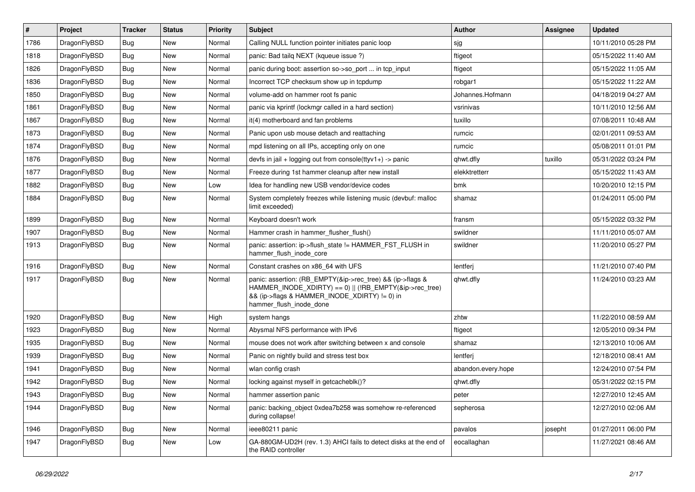| $\vert$ # | Project      | <b>Tracker</b> | <b>Status</b> | <b>Priority</b> | Subject                                                                                                                                                                                           | Author             | Assignee | <b>Updated</b>      |
|-----------|--------------|----------------|---------------|-----------------|---------------------------------------------------------------------------------------------------------------------------------------------------------------------------------------------------|--------------------|----------|---------------------|
| 1786      | DragonFlyBSD | Bug            | <b>New</b>    | Normal          | Calling NULL function pointer initiates panic loop                                                                                                                                                | sjg                |          | 10/11/2010 05:28 PM |
| 1818      | DragonFlyBSD | Bug            | <b>New</b>    | Normal          | panic: Bad tailg NEXT (kqueue issue ?)                                                                                                                                                            | ftigeot            |          | 05/15/2022 11:40 AM |
| 1826      | DragonFlyBSD | Bug            | <b>New</b>    | Normal          | panic during boot: assertion so->so_port  in tcp_input                                                                                                                                            | ftigeot            |          | 05/15/2022 11:05 AM |
| 1836      | DragonFlyBSD | Bug            | <b>New</b>    | Normal          | Incorrect TCP checksum show up in tcpdump                                                                                                                                                         | robgar1            |          | 05/15/2022 11:22 AM |
| 1850      | DragonFlyBSD | Bug            | <b>New</b>    | Normal          | volume-add on hammer root fs panic                                                                                                                                                                | Johannes.Hofmann   |          | 04/18/2019 04:27 AM |
| 1861      | DragonFlyBSD | <b>Bug</b>     | New           | Normal          | panic via kprintf (lockmgr called in a hard section)                                                                                                                                              | vsrinivas          |          | 10/11/2010 12:56 AM |
| 1867      | DragonFlyBSD | Bug            | <b>New</b>    | Normal          | it(4) motherboard and fan problems                                                                                                                                                                | tuxillo            |          | 07/08/2011 10:48 AM |
| 1873      | DragonFlyBSD | <b>Bug</b>     | <b>New</b>    | Normal          | Panic upon usb mouse detach and reattaching                                                                                                                                                       | rumcic             |          | 02/01/2011 09:53 AM |
| 1874      | DragonFlyBSD | Bug            | New           | Normal          | mpd listening on all IPs, accepting only on one                                                                                                                                                   | rumcic             |          | 05/08/2011 01:01 PM |
| 1876      | DragonFlyBSD | Bug            | <b>New</b>    | Normal          | devfs in jail + logging out from console(ttyv1+) -> panic                                                                                                                                         | qhwt.dfly          | tuxillo  | 05/31/2022 03:24 PM |
| 1877      | DragonFlyBSD | <b>Bug</b>     | New           | Normal          | Freeze during 1st hammer cleanup after new install                                                                                                                                                | elekktretterr      |          | 05/15/2022 11:43 AM |
| 1882      | DragonFlyBSD | Bug            | <b>New</b>    | Low             | Idea for handling new USB vendor/device codes                                                                                                                                                     | bmk                |          | 10/20/2010 12:15 PM |
| 1884      | DragonFlyBSD | Bug            | New           | Normal          | System completely freezes while listening music (devbuf: malloc<br>limit exceeded)                                                                                                                | shamaz             |          | 01/24/2011 05:00 PM |
| 1899      | DragonFlyBSD | Bug            | <b>New</b>    | Normal          | Keyboard doesn't work                                                                                                                                                                             | fransm             |          | 05/15/2022 03:32 PM |
| 1907      | DragonFlyBSD | <b>Bug</b>     | <b>New</b>    | Normal          | Hammer crash in hammer flusher flush()                                                                                                                                                            | swildner           |          | 11/11/2010 05:07 AM |
| 1913      | DragonFlyBSD | Bug            | New           | Normal          | panic: assertion: ip->flush state != HAMMER FST FLUSH in<br>hammer flush inode core                                                                                                               | swildner           |          | 11/20/2010 05:27 PM |
| 1916      | DragonFlyBSD | <b>Bug</b>     | <b>New</b>    | Normal          | Constant crashes on x86 64 with UFS                                                                                                                                                               | lentferj           |          | 11/21/2010 07:40 PM |
| 1917      | DragonFlyBSD | Bug            | New           | Normal          | panic: assertion: (RB_EMPTY(&ip->rec_tree) && (ip->flags &<br>HAMMER INODE_XDIRTY) == 0)    (!RB_EMPTY(&ip->rec_tree)<br>&& (ip->flags & HAMMER_INODE_XDIRTY) != 0) in<br>hammer_flush_inode_done | qhwt.dfly          |          | 11/24/2010 03:23 AM |
| 1920      | DragonFlyBSD | <b>Bug</b>     | <b>New</b>    | High            | system hangs                                                                                                                                                                                      | zhtw               |          | 11/22/2010 08:59 AM |
| 1923      | DragonFlyBSD | Bug            | <b>New</b>    | Normal          | Abysmal NFS performance with IPv6                                                                                                                                                                 | ftigeot            |          | 12/05/2010 09:34 PM |
| 1935      | DragonFlyBSD | Bug            | <b>New</b>    | Normal          | mouse does not work after switching between x and console                                                                                                                                         | shamaz             |          | 12/13/2010 10:06 AM |
| 1939      | DragonFlyBSD | Bug            | <b>New</b>    | Normal          | Panic on nightly build and stress test box                                                                                                                                                        | lentferj           |          | 12/18/2010 08:41 AM |
| 1941      | DragonFlyBSD | Bug            | <b>New</b>    | Normal          | wlan config crash                                                                                                                                                                                 | abandon.every.hope |          | 12/24/2010 07:54 PM |
| 1942      | DragonFlyBSD | <b>Bug</b>     | <b>New</b>    | Normal          | locking against myself in getcacheblk()?                                                                                                                                                          | qhwt.dfly          |          | 05/31/2022 02:15 PM |
| 1943      | DragonFlyBSD | Bug            | New           | Normal          | hammer assertion panic                                                                                                                                                                            | peter              |          | 12/27/2010 12:45 AM |
| 1944      | DragonFlyBSD | <b>Bug</b>     | New           | Normal          | panic: backing object 0xdea7b258 was somehow re-referenced<br>during collapse!                                                                                                                    | sepherosa          |          | 12/27/2010 02:06 AM |
| 1946      | DragonFlyBSD | <b>Bug</b>     | New           | Normal          | ieee80211 panic                                                                                                                                                                                   | pavalos            | josepht  | 01/27/2011 06:00 PM |
| 1947      | DragonFlyBSD | Bug            | New           | Low             | GA-880GM-UD2H (rev. 1.3) AHCI fails to detect disks at the end of<br>the RAID controller                                                                                                          | eocallaghan        |          | 11/27/2021 08:46 AM |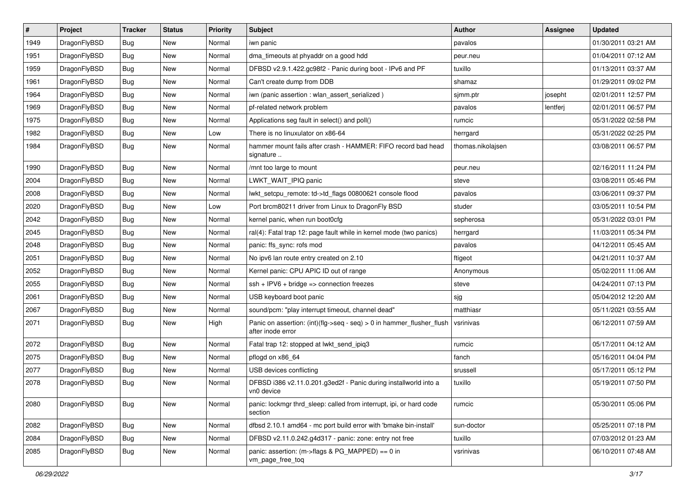| $\sharp$ | Project      | <b>Tracker</b> | <b>Status</b> | <b>Priority</b> | Subject                                                                                    | <b>Author</b>     | Assignee | <b>Updated</b>      |
|----------|--------------|----------------|---------------|-----------------|--------------------------------------------------------------------------------------------|-------------------|----------|---------------------|
| 1949     | DragonFlyBSD | <b>Bug</b>     | New           | Normal          | iwn panic                                                                                  | pavalos           |          | 01/30/2011 03:21 AM |
| 1951     | DragonFlyBSD | Bug            | <b>New</b>    | Normal          | dma_timeouts at phyaddr on a good hdd                                                      | peur.neu          |          | 01/04/2011 07:12 AM |
| 1959     | DragonFlyBSD | <b>Bug</b>     | New           | Normal          | DFBSD v2.9.1.422.gc98f2 - Panic during boot - IPv6 and PF                                  | tuxillo           |          | 01/13/2011 03:37 AM |
| 1961     | DragonFlyBSD | <b>Bug</b>     | <b>New</b>    | Normal          | Can't create dump from DDB                                                                 | shamaz            |          | 01/29/2011 09:02 PM |
| 1964     | DragonFlyBSD | Bug            | <b>New</b>    | Normal          | iwn (panic assertion : wlan assert serialized)                                             | sjmm.ptr          | josepht  | 02/01/2011 12:57 PM |
| 1969     | DragonFlyBSD | <b>Bug</b>     | <b>New</b>    | Normal          | pf-related network problem                                                                 | pavalos           | lentferj | 02/01/2011 06:57 PM |
| 1975     | DragonFlyBSD | <b>Bug</b>     | New           | Normal          | Applications seg fault in select() and poll()                                              | rumcic            |          | 05/31/2022 02:58 PM |
| 1982     | DragonFlyBSD | <b>Bug</b>     | <b>New</b>    | Low             | There is no linuxulator on x86-64                                                          | herrgard          |          | 05/31/2022 02:25 PM |
| 1984     | DragonFlyBSD | <b>Bug</b>     | New           | Normal          | hammer mount fails after crash - HAMMER: FIFO record bad head<br>signature                 | thomas.nikolajsen |          | 03/08/2011 06:57 PM |
| 1990     | DragonFlyBSD | Bug            | <b>New</b>    | Normal          | /mnt too large to mount                                                                    | peur.neu          |          | 02/16/2011 11:24 PM |
| 2004     | DragonFlyBSD | <b>Bug</b>     | New           | Normal          | LWKT WAIT IPIQ panic                                                                       | steve             |          | 03/08/2011 05:46 PM |
| 2008     | DragonFlyBSD | <b>Bug</b>     | New           | Normal          | lwkt setcpu remote: td->td flags 00800621 console flood                                    | pavalos           |          | 03/06/2011 09:37 PM |
| 2020     | DragonFlyBSD | <b>Bug</b>     | <b>New</b>    | Low             | Port brcm80211 driver from Linux to DragonFly BSD                                          | studer            |          | 03/05/2011 10:54 PM |
| 2042     | DragonFlyBSD | <b>Bug</b>     | New           | Normal          | kernel panic, when run boot0cfg                                                            | sepherosa         |          | 05/31/2022 03:01 PM |
| 2045     | DragonFlyBSD | <b>Bug</b>     | <b>New</b>    | Normal          | ral(4): Fatal trap 12: page fault while in kernel mode (two panics)                        | herrgard          |          | 11/03/2011 05:34 PM |
| 2048     | DragonFlyBSD | <b>Bug</b>     | New           | Normal          | panic: ffs_sync: rofs mod                                                                  | pavalos           |          | 04/12/2011 05:45 AM |
| 2051     | DragonFlyBSD | <b>Bug</b>     | <b>New</b>    | Normal          | No ipv6 lan route entry created on 2.10                                                    | ftigeot           |          | 04/21/2011 10:37 AM |
| 2052     | DragonFlyBSD | <b>Bug</b>     | <b>New</b>    | Normal          | Kernel panic: CPU APIC ID out of range                                                     | Anonymous         |          | 05/02/2011 11:06 AM |
| 2055     | DragonFlyBSD | <b>Bug</b>     | <b>New</b>    | Normal          | $ssh + IPV6 + bridge \Rightarrow connection freezes$                                       | steve             |          | 04/24/2011 07:13 PM |
| 2061     | DragonFlyBSD | <b>Bug</b>     | <b>New</b>    | Normal          | USB keyboard boot panic                                                                    | sjg               |          | 05/04/2012 12:20 AM |
| 2067     | DragonFlyBSD | <b>Bug</b>     | New           | Normal          | sound/pcm: "play interrupt timeout, channel dead"                                          | matthiasr         |          | 05/11/2021 03:55 AM |
| 2071     | DragonFlyBSD | Bug            | New           | High            | Panic on assertion: (int)(flg->seq - seq) > 0 in hammer_flusher_flush<br>after inode error | vsrinivas         |          | 06/12/2011 07:59 AM |
| 2072     | DragonFlyBSD | Bug            | New           | Normal          | Fatal trap 12: stopped at lwkt_send_ipiq3                                                  | rumcic            |          | 05/17/2011 04:12 AM |
| 2075     | DragonFlyBSD | <b>Bug</b>     | New           | Normal          | pflogd on x86_64                                                                           | fanch             |          | 05/16/2011 04:04 PM |
| 2077     | DragonFlyBSD | <b>Bug</b>     | <b>New</b>    | Normal          | USB devices conflicting                                                                    | srussell          |          | 05/17/2011 05:12 PM |
| 2078     | DragonFlyBSD | Bug            | New           | Normal          | DFBSD i386 v2.11.0.201.g3ed2f - Panic during installworld into a<br>vn0 device             | tuxillo           |          | 05/19/2011 07:50 PM |
| 2080     | DragonFlyBSD | Bug            | New           | Normal          | panic: lockmgr thrd sleep: called from interrupt, ipi, or hard code<br>section             | rumcic            |          | 05/30/2011 05:06 PM |
| 2082     | DragonFlyBSD | Bug            | <b>New</b>    | Normal          | dfbsd 2.10.1 amd64 - mc port build error with 'bmake bin-install'                          | sun-doctor        |          | 05/25/2011 07:18 PM |
| 2084     | DragonFlyBSD | <b>Bug</b>     | New           | Normal          | DFBSD v2.11.0.242.g4d317 - panic: zone: entry not free                                     | tuxillo           |          | 07/03/2012 01:23 AM |
| 2085     | DragonFlyBSD | Bug            | New           | Normal          | panic: assertion: (m->flags & PG_MAPPED) == 0 in<br>vm_page_free_toq                       | vsrinivas         |          | 06/10/2011 07:48 AM |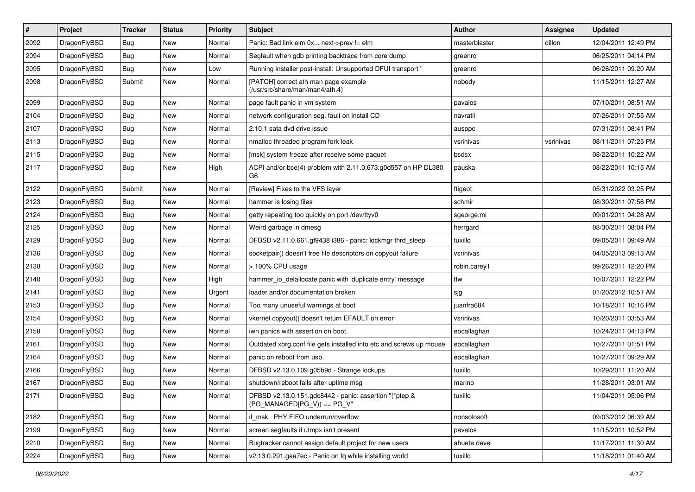| $\vert$ # | Project      | <b>Tracker</b> | <b>Status</b> | <b>Priority</b> | <b>Subject</b>                                                                          | Author        | Assignee  | <b>Updated</b>      |
|-----------|--------------|----------------|---------------|-----------------|-----------------------------------------------------------------------------------------|---------------|-----------|---------------------|
| 2092      | DragonFlyBSD | <b>Bug</b>     | New           | Normal          | Panic: Bad link elm 0x next->prev != elm                                                | masterblaster | dillon    | 12/04/2011 12:49 PM |
| 2094      | DragonFlyBSD | <b>Bug</b>     | <b>New</b>    | Normal          | Segfault when gdb printing backtrace from core dump                                     | greenrd       |           | 06/25/2011 04:14 PM |
| 2095      | DragonFlyBSD | Bug            | New           | Low             | Running installer post-install: Unsupported DFUI transport "                            | greenrd       |           | 06/26/2011 09:20 AM |
| 2098      | DragonFlyBSD | Submit         | New           | Normal          | [PATCH] correct ath man page example<br>(/usr/src/share/man/man4/ath.4)                 | nobody        |           | 11/15/2011 12:27 AM |
| 2099      | DragonFlyBSD | <b>Bug</b>     | New           | Normal          | page fault panic in vm system                                                           | pavalos       |           | 07/10/2011 08:51 AM |
| 2104      | DragonFlyBSD | Bug            | <b>New</b>    | Normal          | network configuration seg. fault on install CD                                          | navratil      |           | 07/26/2011 07:55 AM |
| 2107      | DragonFlyBSD | <b>Bug</b>     | New           | Normal          | 2.10.1 sata dvd drive issue                                                             | ausppc        |           | 07/31/2011 08:41 PM |
| 2113      | DragonFlyBSD | Bug            | <b>New</b>    | Normal          | nmalloc threaded program fork leak                                                      | vsrinivas     | vsrinivas | 08/11/2011 07:25 PM |
| 2115      | DragonFlyBSD | <b>Bug</b>     | <b>New</b>    | Normal          | [msk] system freeze after receive some paquet                                           | bsdsx         |           | 08/22/2011 10:22 AM |
| 2117      | DragonFlyBSD | <b>Bug</b>     | New           | High            | ACPI and/or bce(4) problem with 2.11.0.673.g0d557 on HP DL380<br>G6                     | pauska        |           | 08/22/2011 10:15 AM |
| 2122      | DragonFlyBSD | Submit         | <b>New</b>    | Normal          | [Review] Fixes to the VFS layer                                                         | ftigeot       |           | 05/31/2022 03:25 PM |
| 2123      | DragonFlyBSD | Bug            | New           | Normal          | hammer is losing files                                                                  | schmir        |           | 08/30/2011 07:56 PM |
| 2124      | DragonFlyBSD | Bug            | <b>New</b>    | Normal          | getty repeating too quickly on port /dev/ttyv0                                          | sgeorge.ml    |           | 09/01/2011 04:28 AM |
| 2125      | DragonFlyBSD | <b>Bug</b>     | New           | Normal          | Weird garbage in dmesg                                                                  | herrgard      |           | 08/30/2011 08:04 PM |
| 2129      | DragonFlyBSD | <b>Bug</b>     | <b>New</b>    | Normal          | DFBSD v2.11.0.661.gf9438 i386 - panic: lockmgr thrd_sleep                               | tuxillo       |           | 09/05/2011 09:49 AM |
| 2136      | DragonFlyBSD | Bug            | <b>New</b>    | Normal          | socketpair() doesn't free file descriptors on copyout failure                           | vsrinivas     |           | 04/05/2013 09:13 AM |
| 2138      | DragonFlyBSD | <b>Bug</b>     | New           | Normal          | > 100% CPU usage                                                                        | robin.carey1  |           | 09/26/2011 12:20 PM |
| 2140      | DragonFlyBSD | Bug            | <b>New</b>    | High            | hammer_io_delallocate panic with 'duplicate entry' message                              | ttw           |           | 10/07/2011 12:22 PM |
| 2141      | DragonFlyBSD | <b>Bug</b>     | New           | Urgent          | loader and/or documentation broken                                                      | sjg           |           | 01/20/2012 10:51 AM |
| 2153      | DragonFlyBSD | <b>Bug</b>     | <b>New</b>    | Normal          | Too many unuseful warnings at boot                                                      | juanfra684    |           | 10/18/2011 10:16 PM |
| 2154      | DragonFlyBSD | <b>Bug</b>     | <b>New</b>    | Normal          | vkernel copyout() doesn't return EFAULT on error                                        | vsrinivas     |           | 10/20/2011 03:53 AM |
| 2158      | DragonFlyBSD | <b>Bug</b>     | <b>New</b>    | Normal          | iwn panics with assertion on boot.                                                      | eocallaghan   |           | 10/24/2011 04:13 PM |
| 2161      | DragonFlyBSD | Bug            | New           | Normal          | Outdated xorg.conf file gets installed into etc and screws up mouse                     | eocallaghan   |           | 10/27/2011 01:51 PM |
| 2164      | DragonFlyBSD | <b>Bug</b>     | <b>New</b>    | Normal          | panic on reboot from usb.                                                               | eocallaghan   |           | 10/27/2011 09:29 AM |
| 2166      | DragonFlyBSD | Bug            | New           | Normal          | DFBSD v2.13.0.109.g05b9d - Strange lockups                                              | tuxillo       |           | 10/29/2011 11:20 AM |
| 2167      | DragonFlyBSD | Bug            | <b>New</b>    | Normal          | shutdown/reboot fails after uptime msg                                                  | marino        |           | 11/28/2011 03:01 AM |
| 2171      | DragonFlyBSD | Bug            | New           | Normal          | DFBSD v2.13.0.151.gdc8442 - panic: assertion "(*ptep &<br>$(PG MANAGED PG V)) == PG V"$ | tuxillo       |           | 11/04/2011 05:06 PM |
| 2182      | DragonFlyBSD | <b>Bug</b>     | New           | Normal          | if_msk PHY FIFO underrun/overflow                                                       | nonsolosoft   |           | 09/03/2012 06:39 AM |
| 2199      | DragonFlyBSD | <b>Bug</b>     | New           | Normal          | screen segfaults if utmpx isn't present                                                 | pavalos       |           | 11/15/2011 10:52 PM |
| 2210      | DragonFlyBSD | Bug            | New           | Normal          | Bugtracker cannot assign default project for new users                                  | ahuete.devel  |           | 11/17/2011 11:30 AM |
| 2224      | DragonFlyBSD | Bug            | New           | Normal          | v2.13.0.291.gaa7ec - Panic on fq while installing world                                 | tuxillo       |           | 11/18/2011 01:40 AM |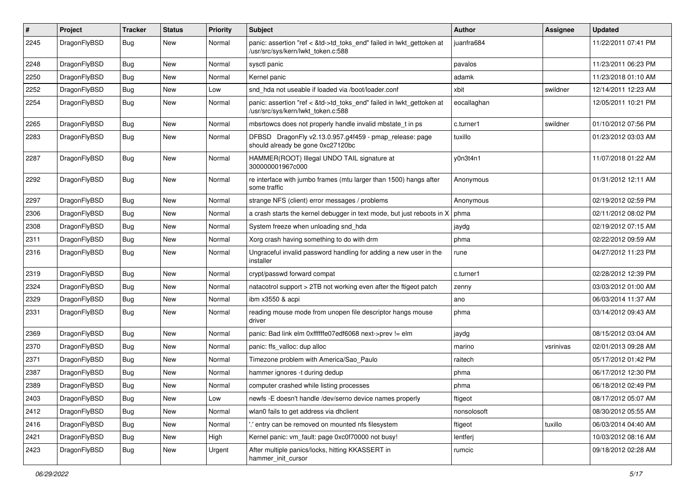| #    | Project      | <b>Tracker</b> | <b>Status</b> | <b>Priority</b> | Subject                                                                                                    | <b>Author</b> | Assignee  | <b>Updated</b>      |
|------|--------------|----------------|---------------|-----------------|------------------------------------------------------------------------------------------------------------|---------------|-----------|---------------------|
| 2245 | DragonFlyBSD | Bug            | New           | Normal          | panic: assertion "ref < &td->td_toks_end" failed in lwkt_gettoken at<br>/usr/src/sys/kern/lwkt_token.c:588 | juanfra684    |           | 11/22/2011 07:41 PM |
| 2248 | DragonFlyBSD | <b>Bug</b>     | <b>New</b>    | Normal          | sysctl panic                                                                                               | pavalos       |           | 11/23/2011 06:23 PM |
| 2250 | DragonFlyBSD | <b>Bug</b>     | New           | Normal          | Kernel panic                                                                                               | adamk         |           | 11/23/2018 01:10 AM |
| 2252 | DragonFlyBSD | <b>Bug</b>     | <b>New</b>    | Low             | snd hda not useable if loaded via /boot/loader.conf                                                        | xbit          | swildner  | 12/14/2011 12:23 AM |
| 2254 | DragonFlyBSD | <b>Bug</b>     | New           | Normal          | panic: assertion "ref < &td->td toks end" failed in lwkt gettoken at<br>/usr/src/sys/kern/lwkt token.c:588 | eocallaghan   |           | 12/05/2011 10:21 PM |
| 2265 | DragonFlyBSD | Bug            | <b>New</b>    | Normal          | mbsrtowcs does not properly handle invalid mbstate t in ps                                                 | c.turner1     | swildner  | 01/10/2012 07:56 PM |
| 2283 | DragonFlyBSD | <b>Bug</b>     | New           | Normal          | DFBSD DragonFly v2.13.0.957.g4f459 - pmap_release: page<br>should already be gone 0xc27120bc               | tuxillo       |           | 01/23/2012 03:03 AM |
| 2287 | DragonFlyBSD | Bug            | <b>New</b>    | Normal          | HAMMER(ROOT) Illegal UNDO TAIL signature at<br>300000001967c000                                            | y0n3t4n1      |           | 11/07/2018 01:22 AM |
| 2292 | DragonFlyBSD | <b>Bug</b>     | <b>New</b>    | Normal          | re interface with jumbo frames (mtu larger than 1500) hangs after<br>some traffic                          | Anonymous     |           | 01/31/2012 12:11 AM |
| 2297 | DragonFlyBSD | Bug            | <b>New</b>    | Normal          | strange NFS (client) error messages / problems                                                             | Anonymous     |           | 02/19/2012 02:59 PM |
| 2306 | DragonFlyBSD | <b>Bug</b>     | <b>New</b>    | Normal          | a crash starts the kernel debugger in text mode, but just reboots in X                                     | phma          |           | 02/11/2012 08:02 PM |
| 2308 | DragonFlyBSD | <b>Bug</b>     | New           | Normal          | System freeze when unloading snd hda                                                                       | jaydg         |           | 02/19/2012 07:15 AM |
| 2311 | DragonFlyBSD | <b>Bug</b>     | <b>New</b>    | Normal          | Xorg crash having something to do with drm                                                                 | phma          |           | 02/22/2012 09:59 AM |
| 2316 | DragonFlyBSD | <b>Bug</b>     | New           | Normal          | Ungraceful invalid password handling for adding a new user in the<br>installer                             | rune          |           | 04/27/2012 11:23 PM |
| 2319 | DragonFlyBSD | Bug            | <b>New</b>    | Normal          | crypt/passwd forward compat                                                                                | c.turner1     |           | 02/28/2012 12:39 PM |
| 2324 | DragonFlyBSD | Bug            | <b>New</b>    | Normal          | natacotrol support > 2TB not working even after the ftigeot patch                                          | zenny         |           | 03/03/2012 01:00 AM |
| 2329 | DragonFlyBSD | <b>Bug</b>     | New           | Normal          | ibm x3550 & acpi                                                                                           | ano           |           | 06/03/2014 11:37 AM |
| 2331 | DragonFlyBSD | <b>Bug</b>     | New           | Normal          | reading mouse mode from unopen file descriptor hangs mouse<br>driver                                       | phma          |           | 03/14/2012 09:43 AM |
| 2369 | DragonFlyBSD | Bug            | <b>New</b>    | Normal          | panic: Bad link elm 0xffffffe07edf6068 next->prev != elm                                                   | jaydg         |           | 08/15/2012 03:04 AM |
| 2370 | DragonFlyBSD | <b>Bug</b>     | New           | Normal          | panic: ffs valloc: dup alloc                                                                               | marino        | vsrinivas | 02/01/2013 09:28 AM |
| 2371 | DragonFlyBSD | <b>Bug</b>     | New           | Normal          | Timezone problem with America/Sao Paulo                                                                    | raitech       |           | 05/17/2012 01:42 PM |
| 2387 | DragonFlyBSD | <b>Bug</b>     | <b>New</b>    | Normal          | hammer ignores -t during dedup                                                                             | phma          |           | 06/17/2012 12:30 PM |
| 2389 | DragonFlyBSD | Bug            | <b>New</b>    | Normal          | computer crashed while listing processes                                                                   | phma          |           | 06/18/2012 02:49 PM |
| 2403 | DragonFlyBSD | Bug            | <b>New</b>    | Low             | newfs -E doesn't handle /dev/serno device names properly                                                   | ftigeot       |           | 08/17/2012 05:07 AM |
| 2412 | DragonFlyBSD | Bug            | New           | Normal          | wlan0 fails to get address via dhclient                                                                    | nonsolosoft   |           | 08/30/2012 05:55 AM |
| 2416 | DragonFlyBSD | <b>Bug</b>     | New           | Normal          | entry can be removed on mounted nfs filesystem                                                             | ftigeot       | tuxillo   | 06/03/2014 04:40 AM |
| 2421 | DragonFlyBSD | <b>Bug</b>     | New           | High            | Kernel panic: vm_fault: page 0xc0f70000 not busy!                                                          | lentferj      |           | 10/03/2012 08:16 AM |
| 2423 | DragonFlyBSD | <b>Bug</b>     | New           | Urgent          | After multiple panics/locks, hitting KKASSERT in<br>hammer_init_cursor                                     | rumcic        |           | 09/18/2012 02:28 AM |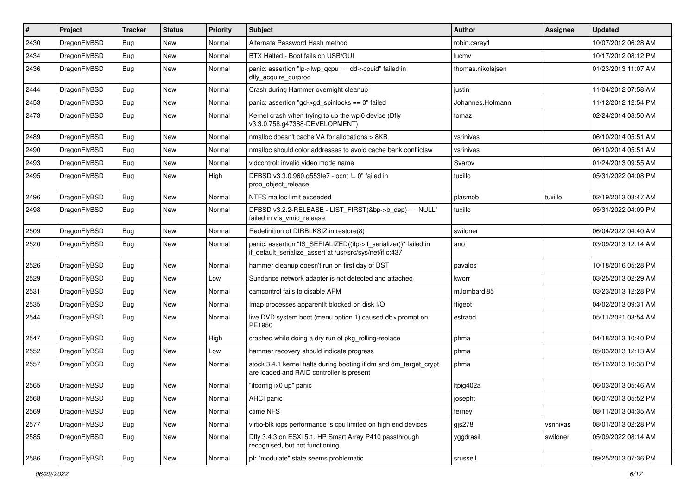| #    | Project      | <b>Tracker</b> | <b>Status</b> | <b>Priority</b> | <b>Subject</b>                                                                                                               | <b>Author</b>     | Assignee  | <b>Updated</b>      |
|------|--------------|----------------|---------------|-----------------|------------------------------------------------------------------------------------------------------------------------------|-------------------|-----------|---------------------|
| 2430 | DragonFlyBSD | Bug            | <b>New</b>    | Normal          | Alternate Password Hash method                                                                                               | robin.carey1      |           | 10/07/2012 06:28 AM |
| 2434 | DragonFlyBSD | <b>Bug</b>     | <b>New</b>    | Normal          | BTX Halted - Boot fails on USB/GUI                                                                                           | lucmv             |           | 10/17/2012 08:12 PM |
| 2436 | DragonFlyBSD | Bug            | New           | Normal          | panic: assertion "lp->lwp_qcpu == dd->cpuid" failed in<br>dfly_acquire_curproc                                               | thomas.nikolajsen |           | 01/23/2013 11:07 AM |
| 2444 | DragonFlyBSD | Bug            | <b>New</b>    | Normal          | Crash during Hammer overnight cleanup                                                                                        | justin            |           | 11/04/2012 07:58 AM |
| 2453 | DragonFlyBSD | <b>Bug</b>     | New           | Normal          | panic: assertion "gd->gd_spinlocks == 0" failed                                                                              | Johannes.Hofmann  |           | 11/12/2012 12:54 PM |
| 2473 | DragonFlyBSD | Bug            | <b>New</b>    | Normal          | Kernel crash when trying to up the wpi0 device (Dfly<br>v3.3.0.758.g47388-DEVELOPMENT)                                       | tomaz             |           | 02/24/2014 08:50 AM |
| 2489 | DragonFlyBSD | Bug            | <b>New</b>    | Normal          | nmalloc doesn't cache VA for allocations > 8KB                                                                               | vsrinivas         |           | 06/10/2014 05:51 AM |
| 2490 | DragonFlyBSD | <b>Bug</b>     | <b>New</b>    | Normal          | nmalloc should color addresses to avoid cache bank conflictsw                                                                | vsrinivas         |           | 06/10/2014 05:51 AM |
| 2493 | DragonFlyBSD | Bug            | <b>New</b>    | Normal          | vidcontrol: invalid video mode name                                                                                          | Svarov            |           | 01/24/2013 09:55 AM |
| 2495 | DragonFlyBSD | <b>Bug</b>     | <b>New</b>    | High            | DFBSD v3.3.0.960.g553fe7 - ocnt != 0" failed in<br>prop_object_release                                                       | tuxillo           |           | 05/31/2022 04:08 PM |
| 2496 | DragonFlyBSD | <b>Bug</b>     | <b>New</b>    | Normal          | NTFS malloc limit exceeded                                                                                                   | plasmob           | tuxillo   | 02/19/2013 08:47 AM |
| 2498 | DragonFlyBSD | Bug            | <b>New</b>    | Normal          | DFBSD v3.2.2-RELEASE - LIST_FIRST(&bp->b_dep) == NULL"<br>failed in vfs_vmio_release                                         | tuxillo           |           | 05/31/2022 04:09 PM |
| 2509 | DragonFlyBSD | Bug            | <b>New</b>    | Normal          | Redefinition of DIRBLKSIZ in restore(8)                                                                                      | swildner          |           | 06/04/2022 04:40 AM |
| 2520 | DragonFlyBSD | Bug            | <b>New</b>    | Normal          | panic: assertion "IS_SERIALIZED((ifp->if_serializer))" failed in<br>if_default_serialize_assert at /usr/src/sys/net/if.c:437 | ano               |           | 03/09/2013 12:14 AM |
| 2526 | DragonFlyBSD | Bug            | New           | Normal          | hammer cleanup doesn't run on first day of DST                                                                               | pavalos           |           | 10/18/2016 05:28 PM |
| 2529 | DragonFlyBSD | Bug            | <b>New</b>    | Low             | Sundance network adapter is not detected and attached                                                                        | kworr             |           | 03/25/2013 02:29 AM |
| 2531 | DragonFlyBSD | <b>Bug</b>     | New           | Normal          | camcontrol fails to disable APM                                                                                              | m.lombardi85      |           | 03/23/2013 12:28 PM |
| 2535 | DragonFlyBSD | Bug            | New           | Normal          | Imap processes apparentlt blocked on disk I/O                                                                                | ftigeot           |           | 04/02/2013 09:31 AM |
| 2544 | DragonFlyBSD | Bug            | New           | Normal          | live DVD system boot (menu option 1) caused db> prompt on<br>PE1950                                                          | estrabd           |           | 05/11/2021 03:54 AM |
| 2547 | DragonFlyBSD | Bug            | <b>New</b>    | High            | crashed while doing a dry run of pkg_rolling-replace                                                                         | phma              |           | 04/18/2013 10:40 PM |
| 2552 | DragonFlyBSD | <b>Bug</b>     | <b>New</b>    | Low             | hammer recovery should indicate progress                                                                                     | phma              |           | 05/03/2013 12:13 AM |
| 2557 | DragonFlyBSD | Bug            | <b>New</b>    | Normal          | stock 3.4.1 kernel halts during booting if dm and dm_target_crypt<br>are loaded and RAID controller is present               | phma              |           | 05/12/2013 10:38 PM |
| 2565 | DragonFlyBSD | <b>Bug</b>     | <b>New</b>    | Normal          | "ifconfig ix0 up" panic                                                                                                      | Itpig402a         |           | 06/03/2013 05:46 AM |
| 2568 | DragonFlyBSD | Bug            | New           | Normal          | AHCI panic                                                                                                                   | josepht           |           | 06/07/2013 05:52 PM |
| 2569 | DragonFlyBSD | <b>Bug</b>     | New           | Normal          | ctime NFS                                                                                                                    | ferney            |           | 08/11/2013 04:35 AM |
| 2577 | DragonFlyBSD | Bug            | New           | Normal          | virtio-blk iops performance is cpu limited on high end devices                                                               | gjs278            | vsrinivas | 08/01/2013 02:28 PM |
| 2585 | DragonFlyBSD | <b>Bug</b>     | New           | Normal          | Dfly 3.4.3 on ESXi 5.1, HP Smart Array P410 passthrough<br>recognised, but not functioning                                   | yggdrasil         | swildner  | 05/09/2022 08:14 AM |
| 2586 | DragonFlyBSD | <b>Bug</b>     | New           | Normal          | pf: "modulate" state seems problematic                                                                                       | srussell          |           | 09/25/2013 07:36 PM |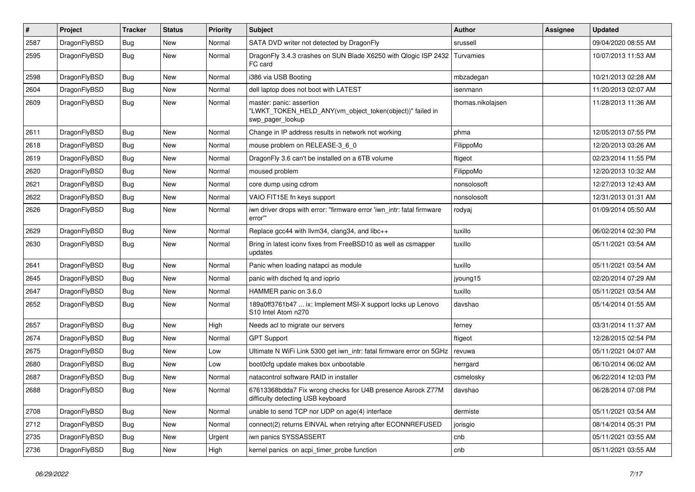| #    | Project      | <b>Tracker</b> | <b>Status</b> | <b>Priority</b> | Subject                                                                                                  | <b>Author</b>     | <b>Assignee</b> | <b>Updated</b>      |
|------|--------------|----------------|---------------|-----------------|----------------------------------------------------------------------------------------------------------|-------------------|-----------------|---------------------|
| 2587 | DragonFlyBSD | <b>Bug</b>     | New           | Normal          | SATA DVD writer not detected by DragonFly                                                                | srussell          |                 | 09/04/2020 08:55 AM |
| 2595 | DragonFlyBSD | <b>Bug</b>     | New           | Normal          | DragonFly 3.4.3 crashes on SUN Blade X6250 with Qlogic ISP 2432<br>FC card                               | Turvamies         |                 | 10/07/2013 11:53 AM |
| 2598 | DragonFlyBSD | Bug            | <b>New</b>    | Normal          | i386 via USB Booting                                                                                     | mbzadegan         |                 | 10/21/2013 02:28 AM |
| 2604 | DragonFlyBSD | Bug            | New           | Normal          | dell laptop does not boot with LATEST                                                                    | isenmann          |                 | 11/20/2013 02:07 AM |
| 2609 | DragonFlyBSD | Bug            | <b>New</b>    | Normal          | master: panic: assertion<br>"LWKT_TOKEN_HELD_ANY(vm_object_token(object))" failed in<br>swp_pager_lookup | thomas.nikolajsen |                 | 11/28/2013 11:36 AM |
| 2611 | DragonFlyBSD | Bug            | <b>New</b>    | Normal          | Change in IP address results in network not working                                                      | phma              |                 | 12/05/2013 07:55 PM |
| 2618 | DragonFlyBSD | Bug            | New           | Normal          | mouse problem on RELEASE-3_6_0                                                                           | FilippoMo         |                 | 12/20/2013 03:26 AM |
| 2619 | DragonFlyBSD | <b>Bug</b>     | New           | Normal          | DragonFly 3.6 can't be installed on a 6TB volume                                                         | ftigeot           |                 | 02/23/2014 11:55 PM |
| 2620 | DragonFlyBSD | <b>Bug</b>     | <b>New</b>    | Normal          | moused problem                                                                                           | FilippoMo         |                 | 12/20/2013 10:32 AM |
| 2621 | DragonFlyBSD | Bug            | <b>New</b>    | Normal          | core dump using cdrom                                                                                    | nonsolosoft       |                 | 12/27/2013 12:43 AM |
| 2622 | DragonFlyBSD | <b>Bug</b>     | <b>New</b>    | Normal          | VAIO FIT15E fn keys support                                                                              | nonsolosoft       |                 | 12/31/2013 01:31 AM |
| 2626 | DragonFlyBSD | Bug            | New           | Normal          | iwn driver drops with error: "firmware error 'iwn_intr: fatal firmware<br>error""                        | rodyaj            |                 | 01/09/2014 05:50 AM |
| 2629 | DragonFlyBSD | Bug            | <b>New</b>    | Normal          | Replace gcc44 with llvm34, clang34, and libc++                                                           | tuxillo           |                 | 06/02/2014 02:30 PM |
| 2630 | DragonFlyBSD | Bug            | New           | Normal          | Bring in latest iconv fixes from FreeBSD10 as well as csmapper<br>updates                                | tuxillo           |                 | 05/11/2021 03:54 AM |
| 2641 | DragonFlyBSD | Bug            | <b>New</b>    | Normal          | Panic when loading natapci as module                                                                     | tuxillo           |                 | 05/11/2021 03:54 AM |
| 2645 | DragonFlyBSD | Bug            | New           | Normal          | panic with dsched fq and ioprio                                                                          | jyoung15          |                 | 02/20/2014 07:29 AM |
| 2647 | DragonFlyBSD | <b>Bug</b>     | New           | Normal          | HAMMER panic on 3.6.0                                                                                    | tuxillo           |                 | 05/11/2021 03:54 AM |
| 2652 | DragonFlyBSD | <b>Bug</b>     | New           | Normal          | 189a0ff3761b47  ix: Implement MSI-X support locks up Lenovo<br>S10 Intel Atom n270                       | davshao           |                 | 05/14/2014 01:55 AM |
| 2657 | DragonFlyBSD | Bug            | <b>New</b>    | High            | Needs acl to migrate our servers                                                                         | ferney            |                 | 03/31/2014 11:37 AM |
| 2674 | DragonFlyBSD | Bug            | <b>New</b>    | Normal          | <b>GPT Support</b>                                                                                       | ftigeot           |                 | 12/28/2015 02:54 PM |
| 2675 | DragonFlyBSD | <b>Bug</b>     | New           | Low             | Ultimate N WiFi Link 5300 get iwn_intr: fatal firmware error on 5GHz                                     | revuwa            |                 | 05/11/2021 04:07 AM |
| 2680 | DragonFlyBSD | <b>Bug</b>     | <b>New</b>    | Low             | boot0cfg update makes box unbootable                                                                     | herrgard          |                 | 06/10/2014 06:02 AM |
| 2687 | DragonFlyBSD | <b>Bug</b>     | New           | Normal          | natacontrol software RAID in installer                                                                   | csmelosky         |                 | 06/22/2014 12:03 PM |
| 2688 | DragonFlyBSD | Bug            | New           | Normal          | 67613368bdda7 Fix wrong checks for U4B presence Asrock Z77M<br>difficulty detecting USB keyboard         | davshao           |                 | 06/28/2014 07:08 PM |
| 2708 | DragonFlyBSD | <b>Bug</b>     | <b>New</b>    | Normal          | unable to send TCP nor UDP on age(4) interface                                                           | dermiste          |                 | 05/11/2021 03:54 AM |
| 2712 | DragonFlyBSD | Bug            | New           | Normal          | connect(2) returns EINVAL when retrying after ECONNREFUSED                                               | jorisgio          |                 | 08/14/2014 05:31 PM |
| 2735 | DragonFlyBSD | Bug            | <b>New</b>    | Urgent          | iwn panics SYSSASSERT                                                                                    | cnb               |                 | 05/11/2021 03:55 AM |
| 2736 | DragonFlyBSD | <b>Bug</b>     | New           | High            | kernel panics on acpi_timer_probe function                                                               | cnb               |                 | 05/11/2021 03:55 AM |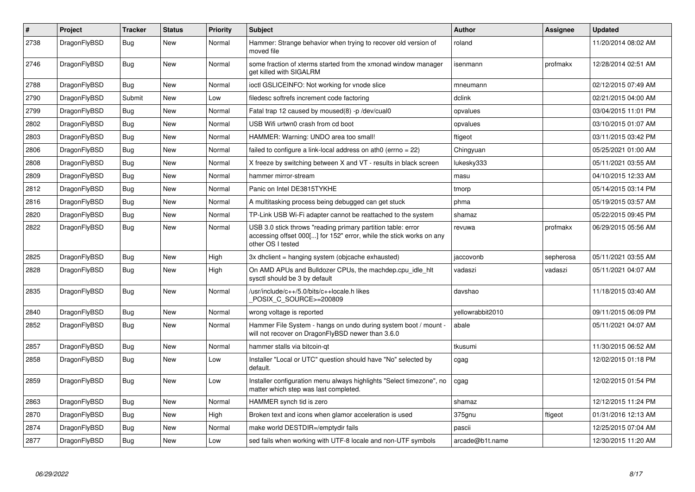| $\#$ | Project      | <b>Tracker</b> | <b>Status</b> | <b>Priority</b> | <b>Subject</b>                                                                                                                                           | <b>Author</b>    | Assignee  | <b>Updated</b>      |
|------|--------------|----------------|---------------|-----------------|----------------------------------------------------------------------------------------------------------------------------------------------------------|------------------|-----------|---------------------|
| 2738 | DragonFlyBSD | Bug            | <b>New</b>    | Normal          | Hammer: Strange behavior when trying to recover old version of<br>moved file                                                                             | roland           |           | 11/20/2014 08:02 AM |
| 2746 | DragonFlyBSD | Bug            | New           | Normal          | some fraction of xterms started from the xmonad window manager<br>get killed with SIGALRM                                                                | isenmann         | profmakx  | 12/28/2014 02:51 AM |
| 2788 | DragonFlyBSD | Bug            | New           | Normal          | ioctl GSLICEINFO: Not working for vnode slice                                                                                                            | mneumann         |           | 02/12/2015 07:49 AM |
| 2790 | DragonFlyBSD | Submit         | New           | Low             | filedesc softrefs increment code factoring                                                                                                               | dclink           |           | 02/21/2015 04:00 AM |
| 2799 | DragonFlyBSD | Bug            | <b>New</b>    | Normal          | Fatal trap 12 caused by moused(8) -p/dev/cual0                                                                                                           | opvalues         |           | 03/04/2015 11:01 PM |
| 2802 | DragonFlyBSD | <b>Bug</b>     | <b>New</b>    | Normal          | USB Wifi urtwn0 crash from cd boot                                                                                                                       | opvalues         |           | 03/10/2015 01:07 AM |
| 2803 | DragonFlyBSD | Bug            | <b>New</b>    | Normal          | HAMMER: Warning: UNDO area too small!                                                                                                                    | ftigeot          |           | 03/11/2015 03:42 PM |
| 2806 | DragonFlyBSD | <b>Bug</b>     | <b>New</b>    | Normal          | failed to configure a link-local address on ath $0$ (errno = 22)                                                                                         | Chingyuan        |           | 05/25/2021 01:00 AM |
| 2808 | DragonFlyBSD | <b>Bug</b>     | <b>New</b>    | Normal          | X freeze by switching between X and VT - results in black screen                                                                                         | lukesky333       |           | 05/11/2021 03:55 AM |
| 2809 | DragonFlyBSD | Bug            | <b>New</b>    | Normal          | hammer mirror-stream                                                                                                                                     | masu             |           | 04/10/2015 12:33 AM |
| 2812 | DragonFlyBSD | Bug            | <b>New</b>    | Normal          | Panic on Intel DE3815TYKHE                                                                                                                               | tmorp            |           | 05/14/2015 03:14 PM |
| 2816 | DragonFlyBSD | Bug            | New           | Normal          | A multitasking process being debugged can get stuck                                                                                                      | phma             |           | 05/19/2015 03:57 AM |
| 2820 | DragonFlyBSD | Bug            | New           | Normal          | TP-Link USB Wi-Fi adapter cannot be reattached to the system                                                                                             | shamaz           |           | 05/22/2015 09:45 PM |
| 2822 | DragonFlyBSD | <b>Bug</b>     | <b>New</b>    | Normal          | USB 3.0 stick throws "reading primary partition table: error<br>accessing offset 000[] for 152" error, while the stick works on any<br>other OS I tested | revuwa           | profmakx  | 06/29/2015 05:56 AM |
| 2825 | DragonFlyBSD | <b>Bug</b>     | New           | High            | 3x dhclient = hanging system (objcache exhausted)                                                                                                        | jaccovonb        | sepherosa | 05/11/2021 03:55 AM |
| 2828 | DragonFlyBSD | Bug            | New           | High            | On AMD APUs and Bulldozer CPUs, the machdep.cpu idle hit<br>sysctl should be 3 by default                                                                | vadaszi          | vadaszi   | 05/11/2021 04:07 AM |
| 2835 | DragonFlyBSD | Bug            | <b>New</b>    | Normal          | /usr/include/c++/5.0/bits/c++locale.h likes<br>POSIX C SOURCE>=200809                                                                                    | davshao          |           | 11/18/2015 03:40 AM |
| 2840 | DragonFlyBSD | <b>Bug</b>     | <b>New</b>    | Normal          | wrong voltage is reported                                                                                                                                | yellowrabbit2010 |           | 09/11/2015 06:09 PM |
| 2852 | DragonFlyBSD | Bug            | New           | Normal          | Hammer File System - hangs on undo during system boot / mount -<br>will not recover on DragonFlyBSD newer than 3.6.0                                     | abale            |           | 05/11/2021 04:07 AM |
| 2857 | DragonFlyBSD | <b>Bug</b>     | <b>New</b>    | Normal          | hammer stalls via bitcoin-qt                                                                                                                             | tkusumi          |           | 11/30/2015 06:52 AM |
| 2858 | DragonFlyBSD | Bug            | New           | Low             | Installer "Local or UTC" question should have "No" selected by<br>default.                                                                               | cgag             |           | 12/02/2015 01:18 PM |
| 2859 | DragonFlyBSD | <b>Bug</b>     | New           | Low             | Installer configuration menu always highlights "Select timezone", no<br>matter which step was last completed.                                            | cgag             |           | 12/02/2015 01:54 PM |
| 2863 | DragonFlyBSD | <b>Bug</b>     | <b>New</b>    | Normal          | HAMMER synch tid is zero                                                                                                                                 | shamaz           |           | 12/12/2015 11:24 PM |
| 2870 | DragonFlyBSD | Bug            | New           | High            | Broken text and icons when glamor acceleration is used                                                                                                   | 375gnu           | ftigeot   | 01/31/2016 12:13 AM |
| 2874 | DragonFlyBSD | Bug            | New           | Normal          | make world DESTDIR=/emptydir fails                                                                                                                       | pascii           |           | 12/25/2015 07:04 AM |
| 2877 | DragonFlyBSD | Bug            | <b>New</b>    | Low             | sed fails when working with UTF-8 locale and non-UTF symbols                                                                                             | arcade@b1t.name  |           | 12/30/2015 11:20 AM |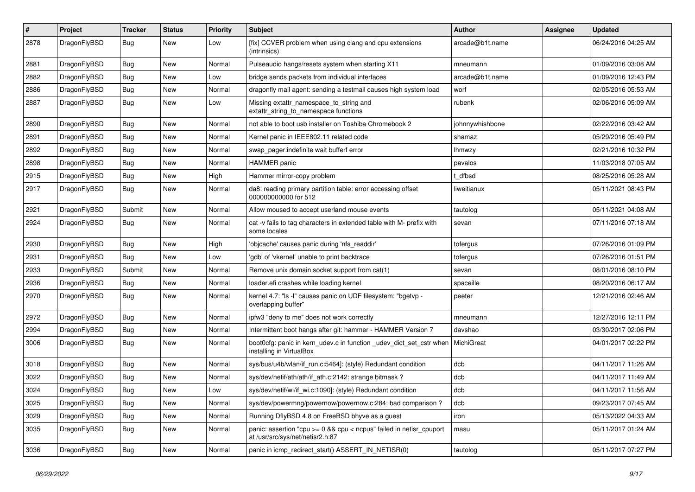| $\#$ | Project      | <b>Tracker</b> | <b>Status</b> | <b>Priority</b> | Subject                                                                                                 | <b>Author</b>   | Assignee | <b>Updated</b>      |
|------|--------------|----------------|---------------|-----------------|---------------------------------------------------------------------------------------------------------|-----------------|----------|---------------------|
| 2878 | DragonFlyBSD | <b>Bug</b>     | New           | Low             | [fix] CCVER problem when using clang and cpu extensions<br>(intrinsics)                                 | arcade@b1t.name |          | 06/24/2016 04:25 AM |
| 2881 | DragonFlyBSD | <b>Bug</b>     | New           | Normal          | Pulseaudio hangs/resets system when starting X11                                                        | mneumann        |          | 01/09/2016 03:08 AM |
| 2882 | DragonFlyBSD | <b>Bug</b>     | New           | Low             | bridge sends packets from individual interfaces                                                         | arcade@b1t.name |          | 01/09/2016 12:43 PM |
| 2886 | DragonFlyBSD | <b>Bug</b>     | New           | Normal          | dragonfly mail agent: sending a testmail causes high system load                                        | worf            |          | 02/05/2016 05:53 AM |
| 2887 | DragonFlyBSD | <b>Bug</b>     | New           | Low             | Missing extattr_namespace_to_string and<br>extattr_string_to_namespace functions                        | rubenk          |          | 02/06/2016 05:09 AM |
| 2890 | DragonFlyBSD | <b>Bug</b>     | New           | Normal          | not able to boot usb installer on Toshiba Chromebook 2                                                  | johnnywhishbone |          | 02/22/2016 03:42 AM |
| 2891 | DragonFlyBSD | <b>Bug</b>     | New           | Normal          | Kernel panic in IEEE802.11 related code                                                                 | shamaz          |          | 05/29/2016 05:49 PM |
| 2892 | DragonFlyBSD | Bug            | <b>New</b>    | Normal          | swap_pager:indefinite wait bufferf error                                                                | <b>Ihmwzy</b>   |          | 02/21/2016 10:32 PM |
| 2898 | DragonFlyBSD | <b>Bug</b>     | New           | Normal          | <b>HAMMER</b> panic                                                                                     | pavalos         |          | 11/03/2018 07:05 AM |
| 2915 | DragonFlyBSD | <b>Bug</b>     | New           | High            | Hammer mirror-copy problem                                                                              | t dfbsd         |          | 08/25/2016 05:28 AM |
| 2917 | DragonFlyBSD | Bug            | New           | Normal          | da8: reading primary partition table: error accessing offset<br>000000000000 for 512                    | liweitianux     |          | 05/11/2021 08:43 PM |
| 2921 | DragonFlyBSD | Submit         | New           | Normal          | Allow moused to accept userland mouse events                                                            | tautolog        |          | 05/11/2021 04:08 AM |
| 2924 | DragonFlyBSD | Bug            | <b>New</b>    | Normal          | cat -v fails to tag characters in extended table with M- prefix with<br>some locales                    | sevan           |          | 07/11/2016 07:18 AM |
| 2930 | DragonFlyBSD | Bug            | <b>New</b>    | High            | 'objcache' causes panic during 'nfs_readdir'                                                            | tofergus        |          | 07/26/2016 01:09 PM |
| 2931 | DragonFlyBSD | <b>Bug</b>     | New           | Low             | 'gdb' of 'vkernel' unable to print backtrace                                                            | tofergus        |          | 07/26/2016 01:51 PM |
| 2933 | DragonFlyBSD | Submit         | New           | Normal          | Remove unix domain socket support from cat(1)                                                           | sevan           |          | 08/01/2016 08:10 PM |
| 2936 | DragonFlyBSD | <b>Bug</b>     | New           | Normal          | loader.efi crashes while loading kernel                                                                 | spaceille       |          | 08/20/2016 06:17 AM |
| 2970 | DragonFlyBSD | Bug            | <b>New</b>    | Normal          | kernel 4.7: "Is -l" causes panic on UDF filesystem: "bgetvp -<br>overlapping buffer"                    | peeter          |          | 12/21/2016 02:46 AM |
| 2972 | DragonFlyBSD | <b>Bug</b>     | New           | Normal          | ipfw3 "deny to me" does not work correctly                                                              | mneumann        |          | 12/27/2016 12:11 PM |
| 2994 | DragonFlyBSD | Bug            | New           | Normal          | Intermittent boot hangs after git: hammer - HAMMER Version 7                                            | davshao         |          | 03/30/2017 02:06 PM |
| 3006 | DragonFlyBSD | Bug            | New           | Normal          | boot0cfg: panic in kern_udev.c in function _udev_dict_set_cstr when<br>installing in VirtualBox         | MichiGreat      |          | 04/01/2017 02:22 PM |
| 3018 | DragonFlyBSD | Bug            | New           | Normal          | sys/bus/u4b/wlan/if_run.c:5464]: (style) Redundant condition                                            | dcb             |          | 04/11/2017 11:26 AM |
| 3022 | DragonFlyBSD | Bug            | New           | Normal          | sys/dev/netif/ath/ath/if_ath.c:2142: strange bitmask?                                                   | dcb             |          | 04/11/2017 11:49 AM |
| 3024 | DragonFlyBSD | Bug            | <b>New</b>    | Low             | sys/dev/netif/wi/if_wi.c:1090]: (style) Redundant condition                                             | dcb             |          | 04/11/2017 11:56 AM |
| 3025 | DragonFlyBSD | <b>Bug</b>     | New           | Normal          | sys/dev/powermng/powernow/powernow.c:284: bad comparison?                                               | dcb             |          | 09/23/2017 07:45 AM |
| 3029 | DragonFlyBSD | <b>Bug</b>     | New           | Normal          | Running DflyBSD 4.8 on FreeBSD bhyve as a guest                                                         | iron            |          | 05/13/2022 04:33 AM |
| 3035 | DragonFlyBSD | <b>Bug</b>     | New           | Normal          | panic: assertion "cpu >= 0 && cpu < ncpus" failed in netisr_cpuport<br>at /usr/src/sys/net/netisr2.h:87 | masu            |          | 05/11/2017 01:24 AM |
| 3036 | DragonFlyBSD | <b>Bug</b>     | New           | Normal          | panic in icmp_redirect_start() ASSERT_IN_NETISR(0)                                                      | tautolog        |          | 05/11/2017 07:27 PM |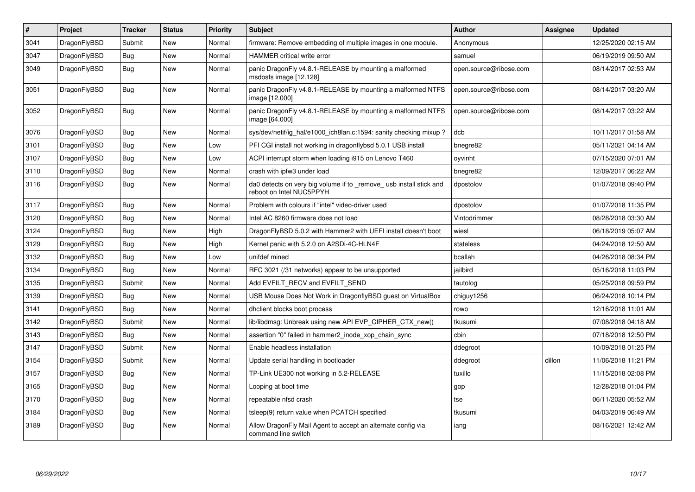| $\pmb{\#}$ | Project      | <b>Tracker</b> | <b>Status</b> | Priority | <b>Subject</b>                                                                                  | <b>Author</b>          | Assignee | <b>Updated</b>      |
|------------|--------------|----------------|---------------|----------|-------------------------------------------------------------------------------------------------|------------------------|----------|---------------------|
| 3041       | DragonFlyBSD | Submit         | <b>New</b>    | Normal   | firmware: Remove embedding of multiple images in one module.                                    | Anonymous              |          | 12/25/2020 02:15 AM |
| 3047       | DragonFlyBSD | Bug            | <b>New</b>    | Normal   | <b>HAMMER</b> critical write error                                                              | samuel                 |          | 06/19/2019 09:50 AM |
| 3049       | DragonFlyBSD | <b>Bug</b>     | <b>New</b>    | Normal   | panic DragonFly v4.8.1-RELEASE by mounting a malformed<br>msdosfs image [12.128]                | open.source@ribose.com |          | 08/14/2017 02:53 AM |
| 3051       | DragonFlyBSD | Bug            | <b>New</b>    | Normal   | panic DragonFly v4.8.1-RELEASE by mounting a malformed NTFS<br>image [12.000]                   | open.source@ribose.com |          | 08/14/2017 03:20 AM |
| 3052       | DragonFlyBSD | Bug            | New           | Normal   | panic DragonFly v4.8.1-RELEASE by mounting a malformed NTFS<br>image [64.000]                   | open.source@ribose.com |          | 08/14/2017 03:22 AM |
| 3076       | DragonFlyBSD | <b>Bug</b>     | <b>New</b>    | Normal   | sys/dev/netif/ig hal/e1000 ich8lan.c:1594: sanity checking mixup?                               | dcb                    |          | 10/11/2017 01:58 AM |
| 3101       | DragonFlyBSD | <b>Bug</b>     | <b>New</b>    | Low      | PFI CGI install not working in dragonflybsd 5.0.1 USB install                                   | bnegre82               |          | 05/11/2021 04:14 AM |
| 3107       | DragonFlyBSD | Bug            | <b>New</b>    | Low      | ACPI interrupt storm when loading i915 on Lenovo T460                                           | oyvinht                |          | 07/15/2020 07:01 AM |
| 3110       | DragonFlyBSD | Bug            | <b>New</b>    | Normal   | crash with ipfw3 under load                                                                     | bnegre82               |          | 12/09/2017 06:22 AM |
| 3116       | DragonFlyBSD | Bug            | <b>New</b>    | Normal   | da0 detects on very big volume if to _remove_ usb install stick and<br>reboot on Intel NUC5PPYH | dpostolov              |          | 01/07/2018 09:40 PM |
| 3117       | DragonFlyBSD | <b>Bug</b>     | <b>New</b>    | Normal   | Problem with colours if "intel" video-driver used                                               | dpostolov              |          | 01/07/2018 11:35 PM |
| 3120       | DragonFlyBSD | Bug            | <b>New</b>    | Normal   | Intel AC 8260 firmware does not load                                                            | Vintodrimmer           |          | 08/28/2018 03:30 AM |
| 3124       | DragonFlyBSD | Bug            | New           | High     | DragonFlyBSD 5.0.2 with Hammer2 with UEFI install doesn't boot                                  | wiesl                  |          | 06/18/2019 05:07 AM |
| 3129       | DragonFlyBSD | <b>Bug</b>     | <b>New</b>    | High     | Kernel panic with 5.2.0 on A2SDi-4C-HLN4F                                                       | stateless              |          | 04/24/2018 12:50 AM |
| 3132       | DragonFlyBSD | Bug            | <b>New</b>    | Low      | unifdef mined                                                                                   | bcallah                |          | 04/26/2018 08:34 PM |
| 3134       | DragonFlyBSD | Bug            | <b>New</b>    | Normal   | RFC 3021 (/31 networks) appear to be unsupported                                                | jailbird               |          | 05/16/2018 11:03 PM |
| 3135       | DragonFlyBSD | Submit         | <b>New</b>    | Normal   | Add EVFILT RECV and EVFILT SEND                                                                 | tautolog               |          | 05/25/2018 09:59 PM |
| 3139       | DragonFlyBSD | <b>Bug</b>     | <b>New</b>    | Normal   | USB Mouse Does Not Work in DragonflyBSD guest on VirtualBox                                     | chiguy1256             |          | 06/24/2018 10:14 PM |
| 3141       | DragonFlyBSD | Bug            | <b>New</b>    | Normal   | dhclient blocks boot process                                                                    | rowo                   |          | 12/16/2018 11:01 AM |
| 3142       | DragonFlyBSD | Submit         | <b>New</b>    | Normal   | lib/libdmsg: Unbreak using new API EVP CIPHER CTX new()                                         | tkusumi                |          | 07/08/2018 04:18 AM |
| 3143       | DragonFlyBSD | Bug            | <b>New</b>    | Normal   | assertion "0" failed in hammer2_inode_xop_chain_sync                                            | cbin                   |          | 07/18/2018 12:50 PM |
| 3147       | DragonFlyBSD | Submit         | <b>New</b>    | Normal   | Enable headless installation                                                                    | ddegroot               |          | 10/09/2018 01:25 PM |
| 3154       | DragonFlyBSD | Submit         | <b>New</b>    | Normal   | Update serial handling in bootloader                                                            | ddegroot               | dillon   | 11/06/2018 11:21 PM |
| 3157       | DragonFlyBSD | Bug            | <b>New</b>    | Normal   | TP-Link UE300 not working in 5.2-RELEASE                                                        | tuxillo                |          | 11/15/2018 02:08 PM |
| 3165       | DragonFlyBSD | <b>Bug</b>     | New           | Normal   | Looping at boot time                                                                            | gop                    |          | 12/28/2018 01:04 PM |
| 3170       | DragonFlyBSD | Bug            | <b>New</b>    | Normal   | repeatable nfsd crash                                                                           | tse                    |          | 06/11/2020 05:52 AM |
| 3184       | DragonFlyBSD | Bug            | New           | Normal   | tsleep(9) return value when PCATCH specified                                                    | tkusumi                |          | 04/03/2019 06:49 AM |
| 3189       | DragonFlyBSD | <b>Bug</b>     | New           | Normal   | Allow DragonFly Mail Agent to accept an alternate config via<br>command line switch             | iang                   |          | 08/16/2021 12:42 AM |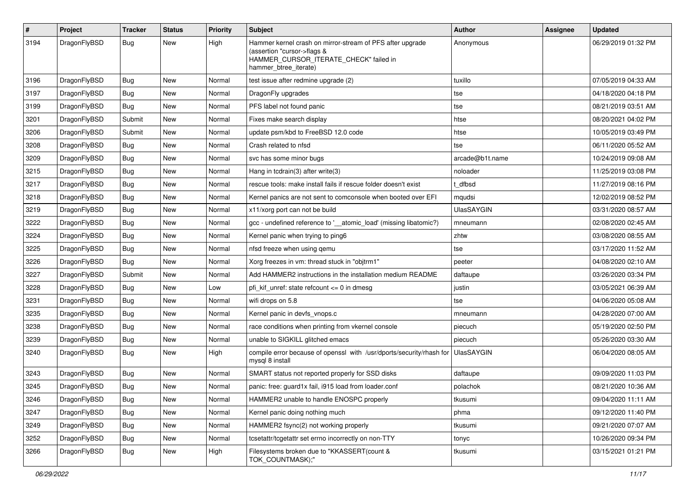| $\sharp$ | Project      | <b>Tracker</b> | <b>Status</b> | <b>Priority</b> | Subject                                                                                                                                                     | Author            | Assignee | <b>Updated</b>      |
|----------|--------------|----------------|---------------|-----------------|-------------------------------------------------------------------------------------------------------------------------------------------------------------|-------------------|----------|---------------------|
| 3194     | DragonFlyBSD | Bug            | <b>New</b>    | High            | Hammer kernel crash on mirror-stream of PFS after upgrade<br>(assertion "cursor->flags &<br>HAMMER_CURSOR_ITERATE_CHECK" failed in<br>hammer_btree_iterate) | Anonymous         |          | 06/29/2019 01:32 PM |
| 3196     | DragonFlyBSD | Bug            | <b>New</b>    | Normal          | test issue after redmine upgrade (2)                                                                                                                        | tuxillo           |          | 07/05/2019 04:33 AM |
| 3197     | DragonFlyBSD | <b>Bug</b>     | <b>New</b>    | Normal          | DragonFly upgrades                                                                                                                                          | tse               |          | 04/18/2020 04:18 PM |
| 3199     | DragonFlyBSD | Bug            | New           | Normal          | PFS label not found panic                                                                                                                                   | tse               |          | 08/21/2019 03:51 AM |
| 3201     | DragonFlyBSD | Submit         | <b>New</b>    | Normal          | Fixes make search display                                                                                                                                   | htse              |          | 08/20/2021 04:02 PM |
| 3206     | DragonFlyBSD | Submit         | New           | Normal          | update psm/kbd to FreeBSD 12.0 code                                                                                                                         | htse              |          | 10/05/2019 03:49 PM |
| 3208     | DragonFlyBSD | Bug            | <b>New</b>    | Normal          | Crash related to nfsd                                                                                                                                       | tse               |          | 06/11/2020 05:52 AM |
| 3209     | DragonFlyBSD | <b>Bug</b>     | <b>New</b>    | Normal          | svc has some minor bugs                                                                                                                                     | arcade@b1t.name   |          | 10/24/2019 09:08 AM |
| 3215     | DragonFlyBSD | <b>Bug</b>     | <b>New</b>    | Normal          | Hang in tcdrain(3) after write(3)                                                                                                                           | noloader          |          | 11/25/2019 03:08 PM |
| 3217     | DragonFlyBSD | Bug            | <b>New</b>    | Normal          | rescue tools: make install fails if rescue folder doesn't exist                                                                                             | t_dfbsd           |          | 11/27/2019 08:16 PM |
| 3218     | DragonFlyBSD | <b>Bug</b>     | New           | Normal          | Kernel panics are not sent to comconsole when booted over EFI                                                                                               | mqudsi            |          | 12/02/2019 08:52 PM |
| 3219     | DragonFlyBSD | Bug            | <b>New</b>    | Normal          | x11/xorg port can not be build                                                                                                                              | <b>UlasSAYGIN</b> |          | 03/31/2020 08:57 AM |
| 3222     | DragonFlyBSD | <b>Bug</b>     | New           | Normal          | gcc - undefined reference to '_atomic_load' (missing libatomic?)                                                                                            | mneumann          |          | 02/08/2020 02:45 AM |
| 3224     | DragonFlyBSD | <b>Bug</b>     | <b>New</b>    | Normal          | Kernel panic when trying to ping6                                                                                                                           | zhtw              |          | 03/08/2020 08:55 AM |
| 3225     | DragonFlyBSD | Bug            | <b>New</b>    | Normal          | nfsd freeze when using qemu                                                                                                                                 | tse               |          | 03/17/2020 11:52 AM |
| 3226     | DragonFlyBSD | <b>Bug</b>     | <b>New</b>    | Normal          | Xorg freezes in vm: thread stuck in "objtrm1"                                                                                                               | peeter            |          | 04/08/2020 02:10 AM |
| 3227     | DragonFlyBSD | Submit         | New           | Normal          | Add HAMMER2 instructions in the installation medium README                                                                                                  | daftaupe          |          | 03/26/2020 03:34 PM |
| 3228     | DragonFlyBSD | <b>Bug</b>     | <b>New</b>    | Low             | pfi_kif_unref: state refcount <= 0 in dmesg                                                                                                                 | justin            |          | 03/05/2021 06:39 AM |
| 3231     | DragonFlyBSD | Bug            | New           | Normal          | wifi drops on 5.8                                                                                                                                           | tse               |          | 04/06/2020 05:08 AM |
| 3235     | DragonFlyBSD | Bug            | <b>New</b>    | Normal          | Kernel panic in devfs_vnops.c                                                                                                                               | mneumann          |          | 04/28/2020 07:00 AM |
| 3238     | DragonFlyBSD | <b>Bug</b>     | <b>New</b>    | Normal          | race conditions when printing from vkernel console                                                                                                          | piecuch           |          | 05/19/2020 02:50 PM |
| 3239     | DragonFlyBSD | <b>Bug</b>     | New           | Normal          | unable to SIGKILL glitched emacs                                                                                                                            | piecuch           |          | 05/26/2020 03:30 AM |
| 3240     | DragonFlyBSD | Bug            | <b>New</b>    | High            | compile error because of openssl with /usr/dports/security/rhash for<br>mysql 8 install                                                                     | <b>UlasSAYGIN</b> |          | 06/04/2020 08:05 AM |
| 3243     | DragonFlyBSD | Bug            | <b>New</b>    | Normal          | SMART status not reported properly for SSD disks                                                                                                            | daftaupe          |          | 09/09/2020 11:03 PM |
| 3245     | DragonFlyBSD | <b>Bug</b>     | New           | Normal          | panic: free: guard1x fail, i915 load from loader.conf                                                                                                       | polachok          |          | 08/21/2020 10:36 AM |
| 3246     | DragonFlyBSD | <b>Bug</b>     | New           | Normal          | HAMMER2 unable to handle ENOSPC properly                                                                                                                    | tkusumi           |          | 09/04/2020 11:11 AM |
| 3247     | DragonFlyBSD | <b>Bug</b>     | New           | Normal          | Kernel panic doing nothing much                                                                                                                             | phma              |          | 09/12/2020 11:40 PM |
| 3249     | DragonFlyBSD | <b>Bug</b>     | New           | Normal          | HAMMER2 fsync(2) not working properly                                                                                                                       | tkusumi           |          | 09/21/2020 07:07 AM |
| 3252     | DragonFlyBSD | <b>Bug</b>     | New           | Normal          | tcsetattr/tcgetattr set errno incorrectly on non-TTY                                                                                                        | tonyc             |          | 10/26/2020 09:34 PM |
| 3266     | DragonFlyBSD | <b>Bug</b>     | New           | High            | Filesystems broken due to "KKASSERT(count &<br>TOK_COUNTMASK);"                                                                                             | tkusumi           |          | 03/15/2021 01:21 PM |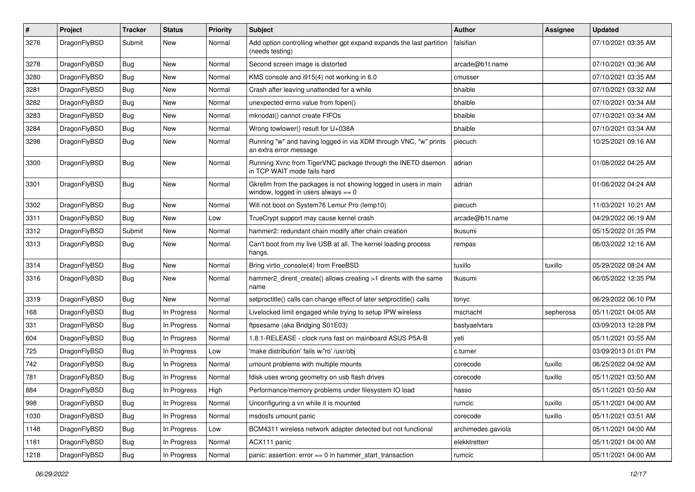| $\sharp$ | Project      | <b>Tracker</b> | <b>Status</b> | <b>Priority</b> | Subject                                                                                                   | Author             | Assignee  | <b>Updated</b>      |
|----------|--------------|----------------|---------------|-----------------|-----------------------------------------------------------------------------------------------------------|--------------------|-----------|---------------------|
| 3276     | DragonFlyBSD | Submit         | <b>New</b>    | Normal          | Add option controlling whether gpt expand expands the last partition<br>(needs testing)                   | falsifian          |           | 07/10/2021 03:35 AM |
| 3278     | DragonFlyBSD | Bug            | <b>New</b>    | Normal          | Second screen image is distorted                                                                          | arcade@b1t.name    |           | 07/10/2021 03:36 AM |
| 3280     | DragonFlyBSD | <b>Bug</b>     | New           | Normal          | KMS console and i915(4) not working in 6.0                                                                | cmusser            |           | 07/10/2021 03:35 AM |
| 3281     | DragonFlyBSD | <b>Bug</b>     | <b>New</b>    | Normal          | Crash after leaving unattended for a while                                                                | bhaible            |           | 07/10/2021 03:32 AM |
| 3282     | DragonFlyBSD | <b>Bug</b>     | <b>New</b>    | Normal          | unexpected errno value from fopen()                                                                       | bhaible            |           | 07/10/2021 03:34 AM |
| 3283     | DragonFlyBSD | <b>Bug</b>     | <b>New</b>    | Normal          | mknodat() cannot create FIFOs                                                                             | bhaible            |           | 07/10/2021 03:34 AM |
| 3284     | DragonFlyBSD | <b>Bug</b>     | New           | Normal          | Wrong towlower() result for U+038A                                                                        | bhaible            |           | 07/10/2021 03:34 AM |
| 3298     | DragonFlyBSD | <b>Bug</b>     | New           | Normal          | Running "w" and having logged in via XDM through VNC, "w" prints<br>an extra error message                | piecuch            |           | 10/25/2021 09:16 AM |
| 3300     | DragonFlyBSD | Bug            | <b>New</b>    | Normal          | Running Xvnc from TigerVNC package through the INETD daemon<br>in TCP WAIT mode fails hard                | adrian             |           | 01/08/2022 04:25 AM |
| 3301     | DragonFlyBSD | <b>Bug</b>     | <b>New</b>    | Normal          | Gkrellm from the packages is not showing logged in users in main<br>window, logged in users always $== 0$ | adrian             |           | 01/08/2022 04:24 AM |
| 3302     | DragonFlyBSD | Bug            | <b>New</b>    | Normal          | Will not boot on System76 Lemur Pro (lemp10)                                                              | piecuch            |           | 11/03/2021 10:21 AM |
| 3311     | DragonFlyBSD | <b>Bug</b>     | New           | Low             | TrueCrypt support may cause kernel crash                                                                  | arcade@b1t.name    |           | 04/29/2022 06:19 AM |
| 3312     | DragonFlyBSD | Submit         | New           | Normal          | hammer2: redundant chain modify after chain creation                                                      | tkusumi            |           | 05/15/2022 01:35 PM |
| 3313     | DragonFlyBSD | <b>Bug</b>     | New           | Normal          | Can't boot from my live USB at all. The kernel loading process<br>hangs.                                  | rempas             |           | 06/03/2022 12:16 AM |
| 3314     | DragonFlyBSD | <b>Bug</b>     | <b>New</b>    | Normal          | Bring virtio_console(4) from FreeBSD                                                                      | tuxillo            | tuxillo   | 05/29/2022 08:24 AM |
| 3316     | DragonFlyBSD | <b>Bug</b>     | <b>New</b>    | Normal          | hammer2_dirent_create() allows creating >1 dirents with the same<br>name                                  | tkusumi            |           | 06/05/2022 12:35 PM |
| 3319     | DragonFlyBSD | <b>Bug</b>     | New           | Normal          | setproctitle() calls can change effect of later setproctitle() calls                                      | tonyc              |           | 06/29/2022 06:10 PM |
| 168      | DragonFlyBSD | <b>Bug</b>     | In Progress   | Normal          | Livelocked limit engaged while trying to setup IPW wireless                                               | mschacht           | sepherosa | 05/11/2021 04:05 AM |
| 331      | DragonFlyBSD | <b>Bug</b>     | In Progress   | Normal          | ftpsesame (aka Bridging S01E03)                                                                           | bastyaelvtars      |           | 03/09/2013 12:28 PM |
| 604      | DragonFlyBSD | <b>Bug</b>     | In Progress   | Normal          | 1.8.1-RELEASE - clock runs fast on mainboard ASUS P5A-B                                                   | yeti               |           | 05/11/2021 03:55 AM |
| 725      | DragonFlyBSD | <b>Bug</b>     | In Progress   | Low             | 'make distribution' fails w/'ro' /usr/obj                                                                 | c.turner           |           | 03/09/2013 01:01 PM |
| 742      | DragonFlyBSD | Bug            | In Progress   | Normal          | umount problems with multiple mounts                                                                      | corecode           | tuxillo   | 06/25/2022 04:02 AM |
| 781      | DragonFlyBSD | <b>Bug</b>     | In Progress   | Normal          | fdisk uses wrong geometry on usb flash drives                                                             | corecode           | tuxillo   | 05/11/2021 03:50 AM |
| 884      | DragonFlyBSD | Bug            | In Progress   | High            | Performance/memory problems under filesystem IO load                                                      | hasso              |           | 05/11/2021 03:50 AM |
| 998      | DragonFlyBSD | Bug            | In Progress   | Normal          | Unconfiguring a vn while it is mounted                                                                    | rumcic             | tuxillo   | 05/11/2021 04:00 AM |
| 1030     | DragonFlyBSD | Bug            | In Progress   | Normal          | msdosfs umount panic                                                                                      | corecode           | tuxillo   | 05/11/2021 03:51 AM |
| 1148     | DragonFlyBSD | <b>Bug</b>     | In Progress   | Low             | BCM4311 wireless network adapter detected but not functional                                              | archimedes.gaviola |           | 05/11/2021 04:00 AM |
| 1181     | DragonFlyBSD | Bug            | In Progress   | Normal          | ACX111 panic                                                                                              | elekktretterr      |           | 05/11/2021 04:00 AM |
| 1218     | DragonFlyBSD | <b>Bug</b>     | In Progress   | Normal          | panic: assertion: $error == 0$ in hammer start transaction                                                | rumcic             |           | 05/11/2021 04:00 AM |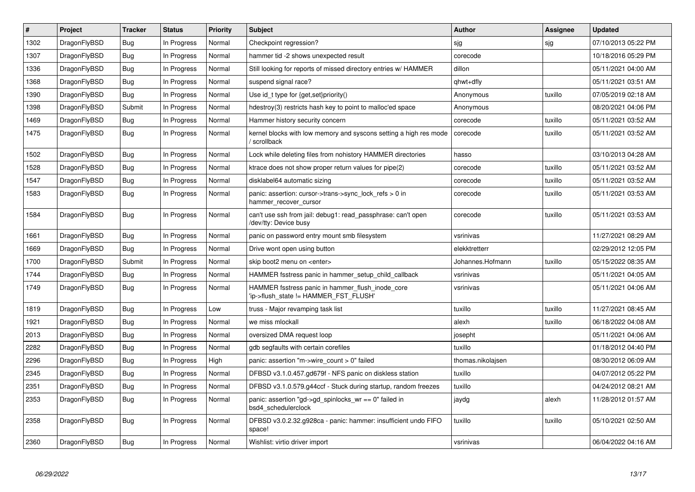| #    | Project      | <b>Tracker</b> | <b>Status</b> | <b>Priority</b> | <b>Subject</b>                                                                            | <b>Author</b>     | <b>Assignee</b> | <b>Updated</b>      |
|------|--------------|----------------|---------------|-----------------|-------------------------------------------------------------------------------------------|-------------------|-----------------|---------------------|
| 1302 | DragonFlyBSD | <b>Bug</b>     | In Progress   | Normal          | Checkpoint regression?                                                                    | sjg               | sjg             | 07/10/2013 05:22 PM |
| 1307 | DragonFlyBSD | Bug            | In Progress   | Normal          | hammer tid -2 shows unexpected result                                                     | corecode          |                 | 10/18/2016 05:29 PM |
| 1336 | DragonFlyBSD | <b>Bug</b>     | In Progress   | Normal          | Still looking for reports of missed directory entries w/ HAMMER                           | dillon            |                 | 05/11/2021 04:00 AM |
| 1368 | DragonFlyBSD | Bug            | In Progress   | Normal          | suspend signal race?                                                                      | qhwt+dfly         |                 | 05/11/2021 03:51 AM |
| 1390 | DragonFlyBSD | <b>Bug</b>     | In Progress   | Normal          | Use id_t type for {get,set}priority()                                                     | Anonymous         | tuxillo         | 07/05/2019 02:18 AM |
| 1398 | DragonFlyBSD | Submit         | In Progress   | Normal          | hdestroy(3) restricts hash key to point to malloc'ed space                                | Anonymous         |                 | 08/20/2021 04:06 PM |
| 1469 | DragonFlyBSD | <b>Bug</b>     | In Progress   | Normal          | Hammer history security concern                                                           | corecode          | tuxillo         | 05/11/2021 03:52 AM |
| 1475 | DragonFlyBSD | Bug            | In Progress   | Normal          | kernel blocks with low memory and syscons setting a high res mode<br>scrollback           | corecode          | tuxillo         | 05/11/2021 03:52 AM |
| 1502 | DragonFlyBSD | Bug            | In Progress   | Normal          | Lock while deleting files from nohistory HAMMER directories                               | hasso             |                 | 03/10/2013 04:28 AM |
| 1528 | DragonFlyBSD | Bug            | In Progress   | Normal          | ktrace does not show proper return values for pipe(2)                                     | corecode          | tuxillo         | 05/11/2021 03:52 AM |
| 1547 | DragonFlyBSD | Bug            | In Progress   | Normal          | disklabel64 automatic sizing                                                              | corecode          | tuxillo         | 05/11/2021 03:52 AM |
| 1583 | DragonFlyBSD | Bug            | In Progress   | Normal          | panic: assertion: cursor->trans->sync lock refs $> 0$ in<br>hammer_recover_cursor         | corecode          | tuxillo         | 05/11/2021 03:53 AM |
| 1584 | DragonFlyBSD | Bug            | In Progress   | Normal          | can't use ssh from jail: debug1: read passphrase: can't open<br>/dev/tty: Device busy     | corecode          | tuxillo         | 05/11/2021 03:53 AM |
| 1661 | DragonFlyBSD | <b>Bug</b>     | In Progress   | Normal          | panic on password entry mount smb filesystem                                              | vsrinivas         |                 | 11/27/2021 08:29 AM |
| 1669 | DragonFlyBSD | <b>Bug</b>     | In Progress   | Normal          | Drive wont open using button                                                              | elekktretterr     |                 | 02/29/2012 12:05 PM |
| 1700 | DragonFlyBSD | Submit         | In Progress   | Normal          | skip boot2 menu on <enter></enter>                                                        | Johannes.Hofmann  | tuxillo         | 05/15/2022 08:35 AM |
| 1744 | DragonFlyBSD | <b>Bug</b>     | In Progress   | Normal          | HAMMER fsstress panic in hammer setup child callback                                      | vsrinivas         |                 | 05/11/2021 04:05 AM |
| 1749 | DragonFlyBSD | Bug            | In Progress   | Normal          | HAMMER fsstress panic in hammer flush inode core<br>'ip->flush_state != HAMMER_FST_FLUSH' | vsrinivas         |                 | 05/11/2021 04:06 AM |
| 1819 | DragonFlyBSD | Bug            | In Progress   | Low             | truss - Major revamping task list                                                         | tuxillo           | tuxillo         | 11/27/2021 08:45 AM |
| 1921 | DragonFlyBSD | <b>Bug</b>     | In Progress   | Normal          | we miss mlockall                                                                          | alexh             | tuxillo         | 06/18/2022 04:08 AM |
| 2013 | DragonFlyBSD | Bug            | In Progress   | Normal          | oversized DMA request loop                                                                | josepht           |                 | 05/11/2021 04:06 AM |
| 2282 | DragonFlyBSD | <b>Bug</b>     | In Progress   | Normal          | gdb segfaults with certain corefiles                                                      | tuxillo           |                 | 01/18/2012 04:40 PM |
| 2296 | DragonFlyBSD | Bug            | In Progress   | High            | panic: assertion "m->wire count > $0$ " failed                                            | thomas.nikolajsen |                 | 08/30/2012 06:09 AM |
| 2345 | DragonFlyBSD | <b>Bug</b>     | In Progress   | Normal          | DFBSD v3.1.0.457.gd679f - NFS panic on diskless station                                   | tuxillo           |                 | 04/07/2012 05:22 PM |
| 2351 | DragonFlyBSD | Bug            | In Progress   | Normal          | DFBSD v3.1.0.579.g44ccf - Stuck during startup, random freezes                            | tuxillo           |                 | 04/24/2012 08:21 AM |
| 2353 | DragonFlyBSD | <b>Bug</b>     | In Progress   | Normal          | panic: assertion "gd->gd_spinlocks_wr == 0" failed in<br>bsd4_schedulerclock              | jaydg             | alexh           | 11/28/2012 01:57 AM |
| 2358 | DragonFlyBSD | Bug            | In Progress   | Normal          | DFBSD v3.0.2.32.g928ca - panic: hammer: insufficient undo FIFO<br>space!                  | tuxillo           | tuxillo         | 05/10/2021 02:50 AM |
| 2360 | DragonFlyBSD | Bug            | In Progress   | Normal          | Wishlist: virtio driver import                                                            | vsrinivas         |                 | 06/04/2022 04:16 AM |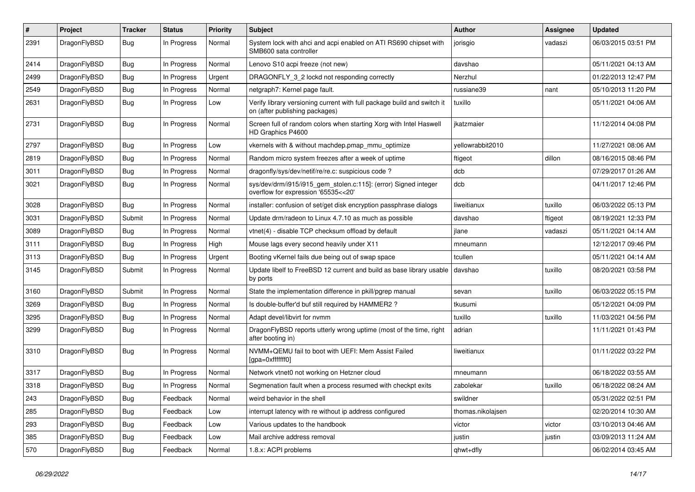| #    | Project      | <b>Tracker</b> | <b>Status</b> | <b>Priority</b> | Subject                                                                                                   | Author            | Assignee | <b>Updated</b>      |
|------|--------------|----------------|---------------|-----------------|-----------------------------------------------------------------------------------------------------------|-------------------|----------|---------------------|
| 2391 | DragonFlyBSD | <b>Bug</b>     | In Progress   | Normal          | System lock with ahci and acpi enabled on ATI RS690 chipset with<br>SMB600 sata controller                | jorisgio          | vadaszi  | 06/03/2015 03:51 PM |
| 2414 | DragonFlyBSD | <b>Bug</b>     | In Progress   | Normal          | Lenovo S10 acpi freeze (not new)                                                                          | davshao           |          | 05/11/2021 04:13 AM |
| 2499 | DragonFlyBSD | <b>Bug</b>     | In Progress   | Urgent          | DRAGONFLY 3 2 lockd not responding correctly                                                              | Nerzhul           |          | 01/22/2013 12:47 PM |
| 2549 | DragonFlyBSD | <b>Bug</b>     | In Progress   | Normal          | netgraph7: Kernel page fault.                                                                             | russiane39        | nant     | 05/10/2013 11:20 PM |
| 2631 | DragonFlyBSD | <b>Bug</b>     | In Progress   | Low             | Verify library versioning current with full package build and switch it<br>on (after publishing packages) | tuxillo           |          | 05/11/2021 04:06 AM |
| 2731 | DragonFlyBSD | Bug            | In Progress   | Normal          | Screen full of random colors when starting Xorg with Intel Haswell<br>HD Graphics P4600                   | ikatzmaier        |          | 11/12/2014 04:08 PM |
| 2797 | DragonFlyBSD | Bug            | In Progress   | Low             | vkernels with & without machdep.pmap mmu optimize                                                         | yellowrabbit2010  |          | 11/27/2021 08:06 AM |
| 2819 | DragonFlyBSD | <b>Bug</b>     | In Progress   | Normal          | Random micro system freezes after a week of uptime                                                        | ftigeot           | dillon   | 08/16/2015 08:46 PM |
| 3011 | DragonFlyBSD | <b>Bug</b>     | In Progress   | Normal          | dragonfly/sys/dev/netif/re/re.c: suspicious code?                                                         | dcb               |          | 07/29/2017 01:26 AM |
| 3021 | DragonFlyBSD | Bug            | In Progress   | Normal          | sys/dev/drm/i915/i915_gem_stolen.c:115]: (error) Signed integer<br>overflow for expression '65535<<20'    | dcb               |          | 04/11/2017 12:46 PM |
| 3028 | DragonFlyBSD | Bug            | In Progress   | Normal          | installer: confusion of set/get disk encryption passphrase dialogs                                        | liweitianux       | tuxillo  | 06/03/2022 05:13 PM |
| 3031 | DragonFlyBSD | Submit         | In Progress   | Normal          | Update drm/radeon to Linux 4.7.10 as much as possible                                                     | davshao           | ftigeot  | 08/19/2021 12:33 PM |
| 3089 | DragonFlyBSD | <b>Bug</b>     | In Progress   | Normal          | vtnet(4) - disable TCP checksum offload by default                                                        | jlane             | vadaszi  | 05/11/2021 04:14 AM |
| 3111 | DragonFlyBSD | Bug            | In Progress   | High            | Mouse lags every second heavily under X11                                                                 | mneumann          |          | 12/12/2017 09:46 PM |
| 3113 | DragonFlyBSD | <b>Bug</b>     | In Progress   | Urgent          | Booting vKernel fails due being out of swap space                                                         | tcullen           |          | 05/11/2021 04:14 AM |
| 3145 | DragonFlyBSD | Submit         | In Progress   | Normal          | Update libelf to FreeBSD 12 current and build as base library usable<br>by ports                          | davshao           | tuxillo  | 08/20/2021 03:58 PM |
| 3160 | DragonFlyBSD | Submit         | In Progress   | Normal          | State the implementation difference in pkill/pgrep manual                                                 | sevan             | tuxillo  | 06/03/2022 05:15 PM |
| 3269 | DragonFlyBSD | <b>Bug</b>     | In Progress   | Normal          | Is double-buffer'd buf still required by HAMMER2 ?                                                        | tkusumi           |          | 05/12/2021 04:09 PM |
| 3295 | DragonFlyBSD | <b>Bug</b>     | In Progress   | Normal          | Adapt devel/libvirt for nvmm                                                                              | tuxillo           | tuxillo  | 11/03/2021 04:56 PM |
| 3299 | DragonFlyBSD | <b>Bug</b>     | In Progress   | Normal          | DragonFlyBSD reports utterly wrong uptime (most of the time, right<br>after booting in)                   | adrian            |          | 11/11/2021 01:43 PM |
| 3310 | DragonFlyBSD | Bug            | In Progress   | Normal          | NVMM+QEMU fail to boot with UEFI: Mem Assist Failed<br>[gpa=0xfffffff0]                                   | liweitianux       |          | 01/11/2022 03:22 PM |
| 3317 | DragonFlyBSD | Bug            | In Progress   | Normal          | Network vtnet0 not working on Hetzner cloud                                                               | mneumann          |          | 06/18/2022 03:55 AM |
| 3318 | DragonFlyBSD | Bug            | In Progress   | Normal          | Segmenation fault when a process resumed with checkpt exits                                               | zabolekar         | tuxillo  | 06/18/2022 08:24 AM |
| 243  | DragonFlyBSD | <b>Bug</b>     | Feedback      | Normal          | weird behavior in the shell                                                                               | swildner          |          | 05/31/2022 02:51 PM |
| 285  | DragonFlyBSD | <b>Bug</b>     | Feedback      | Low             | interrupt latency with re without ip address configured                                                   | thomas.nikolajsen |          | 02/20/2014 10:30 AM |
| 293  | DragonFlyBSD | <b>Bug</b>     | Feedback      | Low             | Various updates to the handbook                                                                           | victor            | victor   | 03/10/2013 04:46 AM |
| 385  | DragonFlyBSD | <b>Bug</b>     | Feedback      | Low             | Mail archive address removal                                                                              | justin            | justin   | 03/09/2013 11:24 AM |
| 570  | DragonFlyBSD | <b>Bug</b>     | Feedback      | Normal          | 1.8.x: ACPI problems                                                                                      | qhwt+dfly         |          | 06/02/2014 03:45 AM |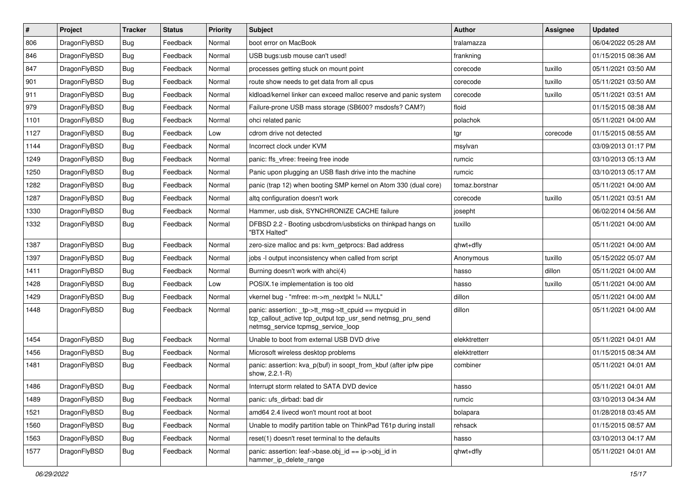| #    | Project      | <b>Tracker</b> | <b>Status</b> | <b>Priority</b> | Subject                                                                                                                                                   | <b>Author</b>  | <b>Assignee</b> | <b>Updated</b>      |
|------|--------------|----------------|---------------|-----------------|-----------------------------------------------------------------------------------------------------------------------------------------------------------|----------------|-----------------|---------------------|
| 806  | DragonFlyBSD | Bug            | Feedback      | Normal          | boot error on MacBook                                                                                                                                     | tralamazza     |                 | 06/04/2022 05:28 AM |
| 846  | DragonFlyBSD | Bug            | Feedback      | Normal          | USB bugs:usb mouse can't used!                                                                                                                            | frankning      |                 | 01/15/2015 08:36 AM |
| 847  | DragonFlyBSD | <b>Bug</b>     | Feedback      | Normal          | processes getting stuck on mount point                                                                                                                    | corecode       | tuxillo         | 05/11/2021 03:50 AM |
| 901  | DragonFlyBSD | <b>Bug</b>     | Feedback      | Normal          | route show needs to get data from all cpus                                                                                                                | corecode       | tuxillo         | 05/11/2021 03:50 AM |
| 911  | DragonFlyBSD | Bug            | Feedback      | Normal          | kldload/kernel linker can exceed malloc reserve and panic system                                                                                          | corecode       | tuxillo         | 05/11/2021 03:51 AM |
| 979  | DragonFlyBSD | <b>Bug</b>     | Feedback      | Normal          | Failure-prone USB mass storage (SB600? msdosfs? CAM?)                                                                                                     | floid          |                 | 01/15/2015 08:38 AM |
| 1101 | DragonFlyBSD | <b>Bug</b>     | Feedback      | Normal          | ohci related panic                                                                                                                                        | polachok       |                 | 05/11/2021 04:00 AM |
| 1127 | DragonFlyBSD | <b>Bug</b>     | Feedback      | Low             | cdrom drive not detected                                                                                                                                  | tgr            | corecode        | 01/15/2015 08:55 AM |
| 1144 | DragonFlyBSD | <b>Bug</b>     | Feedback      | Normal          | Incorrect clock under KVM                                                                                                                                 | msylvan        |                 | 03/09/2013 01:17 PM |
| 1249 | DragonFlyBSD | Bug            | Feedback      | Normal          | panic: ffs vfree: freeing free inode                                                                                                                      | rumcic         |                 | 03/10/2013 05:13 AM |
| 1250 | DragonFlyBSD | <b>Bug</b>     | Feedback      | Normal          | Panic upon plugging an USB flash drive into the machine                                                                                                   | rumcic         |                 | 03/10/2013 05:17 AM |
| 1282 | DragonFlyBSD | <b>Bug</b>     | Feedback      | Normal          | panic (trap 12) when booting SMP kernel on Atom 330 (dual core)                                                                                           | tomaz.borstnar |                 | 05/11/2021 04:00 AM |
| 1287 | DragonFlyBSD | Bug            | Feedback      | Normal          | altg configuration doesn't work                                                                                                                           | corecode       | tuxillo         | 05/11/2021 03:51 AM |
| 1330 | DragonFlyBSD | Bug            | Feedback      | Normal          | Hammer, usb disk, SYNCHRONIZE CACHE failure                                                                                                               | josepht        |                 | 06/02/2014 04:56 AM |
| 1332 | DragonFlyBSD | Bug            | Feedback      | Normal          | DFBSD 2.2 - Booting usbcdrom/usbsticks on thinkpad hangs on<br>"BTX Halted"                                                                               | tuxillo        |                 | 05/11/2021 04:00 AM |
| 1387 | DragonFlyBSD | <b>Bug</b>     | Feedback      | Normal          | zero-size malloc and ps: kvm getprocs: Bad address                                                                                                        | qhwt+dfly      |                 | 05/11/2021 04:00 AM |
| 1397 | DragonFlyBSD | Bug            | Feedback      | Normal          | jobs -I output inconsistency when called from script                                                                                                      | Anonymous      | tuxillo         | 05/15/2022 05:07 AM |
| 1411 | DragonFlyBSD | Bug            | Feedback      | Normal          | Burning doesn't work with ahci(4)                                                                                                                         | hasso          | dillon          | 05/11/2021 04:00 AM |
| 1428 | DragonFlyBSD | Bug            | Feedback      | Low             | POSIX.1e implementation is too old                                                                                                                        | hasso          | tuxillo         | 05/11/2021 04:00 AM |
| 1429 | DragonFlyBSD | Bug            | Feedback      | Normal          | vkernel bug - "mfree: m->m_nextpkt != NULL"                                                                                                               | dillon         |                 | 05/11/2021 04:00 AM |
| 1448 | DragonFlyBSD | Bug            | Feedback      | Normal          | panic: assertion: _tp->tt_msg->tt_cpuid == mycpuid in<br>tcp_callout_active tcp_output tcp_usr_send netmsg_pru_send<br>netmsg_service tcpmsg_service_loop | dillon         |                 | 05/11/2021 04:00 AM |
| 1454 | DragonFlyBSD | Bug            | Feedback      | Normal          | Unable to boot from external USB DVD drive                                                                                                                | elekktretterr  |                 | 05/11/2021 04:01 AM |
| 1456 | DragonFlyBSD | Bug            | Feedback      | Normal          | Microsoft wireless desktop problems                                                                                                                       | elekktretterr  |                 | 01/15/2015 08:34 AM |
| 1481 | DragonFlyBSD | Bug            | Feedback      | Normal          | panic: assertion: kva p(buf) in soopt from kbuf (after ipfw pipe<br>show, 2.2.1-R)                                                                        | combiner       |                 | 05/11/2021 04:01 AM |
| 1486 | DragonFlyBSD | Bug            | Feedback      | Normal          | Interrupt storm related to SATA DVD device                                                                                                                | hasso          |                 | 05/11/2021 04:01 AM |
| 1489 | DragonFlyBSD | <b>Bug</b>     | Feedback      | Normal          | panic: ufs dirbad: bad dir                                                                                                                                | rumcic         |                 | 03/10/2013 04:34 AM |
| 1521 | DragonFlyBSD | <b>Bug</b>     | Feedback      | Normal          | amd64 2.4 livecd won't mount root at boot                                                                                                                 | bolapara       |                 | 01/28/2018 03:45 AM |
| 1560 | DragonFlyBSD | <b>Bug</b>     | Feedback      | Normal          | Unable to modify partition table on ThinkPad T61p during install                                                                                          | rehsack        |                 | 01/15/2015 08:57 AM |
| 1563 | DragonFlyBSD | Bug            | Feedback      | Normal          | reset(1) doesn't reset terminal to the defaults                                                                                                           | hasso          |                 | 03/10/2013 04:17 AM |
| 1577 | DragonFlyBSD | <b>Bug</b>     | Feedback      | Normal          | panic: assertion: leaf->base.obj_id == ip->obj_id in<br>hammer_ip_delete_range                                                                            | qhwt+dfly      |                 | 05/11/2021 04:01 AM |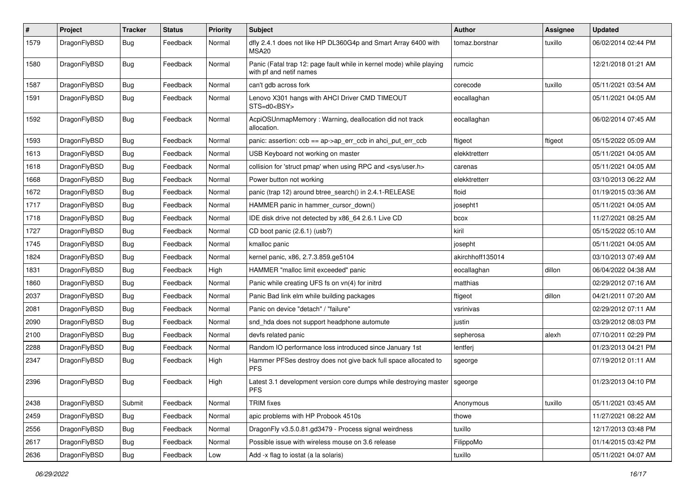| $\pmb{\#}$ | Project      | <b>Tracker</b> | <b>Status</b> | <b>Priority</b> | Subject                                                                                         | Author           | Assignee | <b>Updated</b>      |
|------------|--------------|----------------|---------------|-----------------|-------------------------------------------------------------------------------------------------|------------------|----------|---------------------|
| 1579       | DragonFlyBSD | Bug            | Feedback      | Normal          | dfly 2.4.1 does not like HP DL360G4p and Smart Array 6400 with<br>MSA <sub>20</sub>             | tomaz.borstnar   | tuxillo  | 06/02/2014 02:44 PM |
| 1580       | DragonFlyBSD | Bug            | Feedback      | Normal          | Panic (Fatal trap 12: page fault while in kernel mode) while playing<br>with pf and netif names | rumcic           |          | 12/21/2018 01:21 AM |
| 1587       | DragonFlyBSD | Bug            | Feedback      | Normal          | can't gdb across fork                                                                           | corecode         | tuxillo  | 05/11/2021 03:54 AM |
| 1591       | DragonFlyBSD | Bug            | Feedback      | Normal          | Lenovo X301 hangs with AHCI Driver CMD TIMEOUT<br>STS=d0 <bsy></bsy>                            | eocallaghan      |          | 05/11/2021 04:05 AM |
| 1592       | DragonFlyBSD | Bug            | Feedback      | Normal          | AcpiOSUnmapMemory: Warning, deallocation did not track<br>allocation.                           | eocallaghan      |          | 06/02/2014 07:45 AM |
| 1593       | DragonFlyBSD | Bug            | Feedback      | Normal          | panic: assertion: $\cosh = a$ p->ap err $\cosh$ in ahci put err $\cosh$                         | ftigeot          | ftigeot  | 05/15/2022 05:09 AM |
| 1613       | DragonFlyBSD | <b>Bug</b>     | Feedback      | Normal          | USB Keyboard not working on master                                                              | elekktretterr    |          | 05/11/2021 04:05 AM |
| 1618       | DragonFlyBSD | Bug            | Feedback      | Normal          | collision for 'struct pmap' when using RPC and <sys user.h=""></sys>                            | carenas          |          | 05/11/2021 04:05 AM |
| 1668       | DragonFlyBSD | <b>Bug</b>     | Feedback      | Normal          | Power button not working                                                                        | elekktretterr    |          | 03/10/2013 06:22 AM |
| 1672       | DragonFlyBSD | <b>Bug</b>     | Feedback      | Normal          | panic (trap 12) around btree search() in 2.4.1-RELEASE                                          | floid            |          | 01/19/2015 03:36 AM |
| 1717       | DragonFlyBSD | Bug            | Feedback      | Normal          | HAMMER panic in hammer_cursor_down()                                                            | josepht1         |          | 05/11/2021 04:05 AM |
| 1718       | DragonFlyBSD | <b>Bug</b>     | Feedback      | Normal          | IDE disk drive not detected by x86 64 2.6.1 Live CD                                             | bcox             |          | 11/27/2021 08:25 AM |
| 1727       | DragonFlyBSD | <b>Bug</b>     | Feedback      | Normal          | CD boot panic (2.6.1) (usb?)                                                                    | kiril            |          | 05/15/2022 05:10 AM |
| 1745       | DragonFlyBSD | <b>Bug</b>     | Feedback      | Normal          | kmalloc panic                                                                                   | josepht          |          | 05/11/2021 04:05 AM |
| 1824       | DragonFlyBSD | <b>Bug</b>     | Feedback      | Normal          | kernel panic, x86, 2.7.3.859.ge5104                                                             | akirchhoff135014 |          | 03/10/2013 07:49 AM |
| 1831       | DragonFlyBSD | Bug            | Feedback      | High            | HAMMER "malloc limit exceeded" panic                                                            | eocallaghan      | dillon   | 06/04/2022 04:38 AM |
| 1860       | DragonFlyBSD | <b>Bug</b>     | Feedback      | Normal          | Panic while creating UFS fs on vn(4) for initrd                                                 | matthias         |          | 02/29/2012 07:16 AM |
| 2037       | DragonFlyBSD | <b>Bug</b>     | Feedback      | Normal          | Panic Bad link elm while building packages                                                      | ftigeot          | dillon   | 04/21/2011 07:20 AM |
| 2081       | DragonFlyBSD | Bug            | Feedback      | Normal          | Panic on device "detach" / "failure"                                                            | vsrinivas        |          | 02/29/2012 07:11 AM |
| 2090       | DragonFlyBSD | <b>Bug</b>     | Feedback      | Normal          | snd_hda does not support headphone automute                                                     | justin           |          | 03/29/2012 08:03 PM |
| 2100       | DragonFlyBSD | Bug            | Feedback      | Normal          | devfs related panic                                                                             | sepherosa        | alexh    | 07/10/2011 02:29 PM |
| 2288       | DragonFlyBSD | <b>Bug</b>     | Feedback      | Normal          | Random IO performance loss introduced since January 1st                                         | lentferj         |          | 01/23/2013 04:21 PM |
| 2347       | DragonFlyBSD | <b>Bug</b>     | Feedback      | High            | Hammer PFSes destroy does not give back full space allocated to<br><b>PFS</b>                   | sgeorge          |          | 07/19/2012 01:11 AM |
| 2396       | DragonFlyBSD | Bug            | Feedback      | High            | Latest 3.1 development version core dumps while destroying master<br><b>PFS</b>                 | sgeorge          |          | 01/23/2013 04:10 PM |
| 2438       | DragonFlyBSD | Submit         | Feedback      | Normal          | <b>TRIM</b> fixes                                                                               | Anonymous        | tuxillo  | 05/11/2021 03:45 AM |
| 2459       | DragonFlyBSD | <b>Bug</b>     | Feedback      | Normal          | apic problems with HP Probook 4510s                                                             | thowe            |          | 11/27/2021 08:22 AM |
| 2556       | DragonFlyBSD | <b>Bug</b>     | Feedback      | Normal          | DragonFly v3.5.0.81.gd3479 - Process signal weirdness                                           | tuxillo          |          | 12/17/2013 03:48 PM |
| 2617       | DragonFlyBSD | <b>Bug</b>     | Feedback      | Normal          | Possible issue with wireless mouse on 3.6 release                                               | FilippoMo        |          | 01/14/2015 03:42 PM |
| 2636       | DragonFlyBSD | Bug            | Feedback      | Low             | Add -x flag to iostat (a la solaris)                                                            | tuxillo          |          | 05/11/2021 04:07 AM |